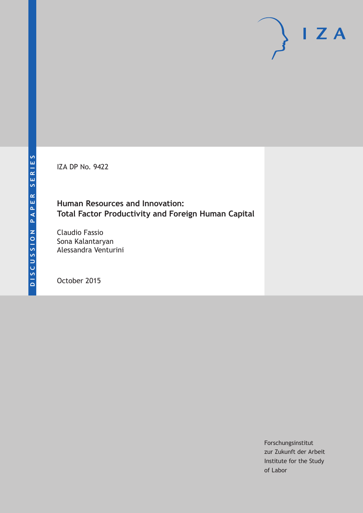IZA DP No. 9422

## **Human Resources and Innovation: Total Factor Productivity and Foreign Human Capital**

Claudio Fassio Sona Kalantaryan Alessandra Venturini

October 2015

Forschungsinstitut zur Zukunft der Arbeit Institute for the Study of Labor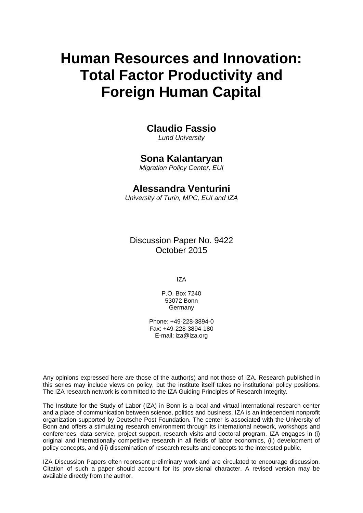# **Human Resources and Innovation: Total Factor Productivity and Foreign Human Capital**

# **Claudio Fassio**

*Lund University* 

## **Sona Kalantaryan**

*Migration Policy Center, EUI* 

# **Alessandra Venturini**

*University of Turin, MPC, EUI and IZA*

Discussion Paper No. 9422 October 2015

IZA

P.O. Box 7240 53072 Bonn Germany

Phone: +49-228-3894-0 Fax: +49-228-3894-180 E-mail: iza@iza.org

Any opinions expressed here are those of the author(s) and not those of IZA. Research published in this series may include views on policy, but the institute itself takes no institutional policy positions. The IZA research network is committed to the IZA Guiding Principles of Research Integrity.

The Institute for the Study of Labor (IZA) in Bonn is a local and virtual international research center and a place of communication between science, politics and business. IZA is an independent nonprofit organization supported by Deutsche Post Foundation. The center is associated with the University of Bonn and offers a stimulating research environment through its international network, workshops and conferences, data service, project support, research visits and doctoral program. IZA engages in (i) original and internationally competitive research in all fields of labor economics, (ii) development of policy concepts, and (iii) dissemination of research results and concepts to the interested public.

IZA Discussion Papers often represent preliminary work and are circulated to encourage discussion. Citation of such a paper should account for its provisional character. A revised version may be available directly from the author.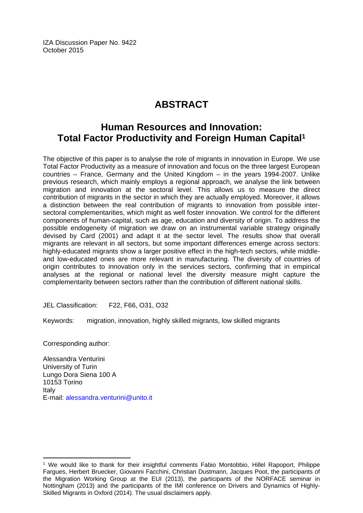IZA Discussion Paper No. 9422 October 2015

# **ABSTRACT**

# **Human Resources and Innovation: Total Factor Productivity and Foreign Human Capital1**

The objective of this paper is to analyse the role of migrants in innovation in Europe. We use Total Factor Productivity as a measure of innovation and focus on the three largest European countries – France, Germany and the United Kingdom – in the years 1994-2007. Unlike previous research, which mainly employs a regional approach, we analyse the link between migration and innovation at the sectoral level. This allows us to measure the direct contribution of migrants in the sector in which they are actually employed. Moreover, it allows a distinction between the real contribution of migrants to innovation from possible intersectoral complementarities, which might as well foster innovation. We control for the different components of human-capital, such as age, education and diversity of origin. To address the possible endogeneity of migration we draw on an instrumental variable strategy originally devised by Card (2001) and adapt it at the sector level. The results show that overall migrants are relevant in all sectors, but some important differences emerge across sectors: highly-educated migrants show a larger positive effect in the high-tech sectors, while middleand low-educated ones are more relevant in manufacturing. The diversity of countries of origin contributes to innovation only in the services sectors, confirming that in empirical analyses at the regional or national level the diversity measure might capture the complementarity between sectors rather than the contribution of different national skills.

JEL Classification: F22, F66, O31, O32

Keywords: migration, innovation, highly skilled migrants, low skilled migrants

Corresponding author:

 $\overline{\phantom{a}}$ 

Alessandra Venturini University of Turin Lungo Dora Siena 100 A 10153 Torino Italy E-mail: alessandra.venturini@unito.it

<sup>1</sup> We would like to thank for their insightful comments Fabio Montobbio, Hillel Rapoport, Philippe Fargues, Herbert Bruecker, Giovanni Facchini, Christian Dustmann, Jacques Poot, the participants of the Migration Working Group at the EUI (2013), the participants of the NORFACE seminar in Nottingham (2013) and the participants of the IMI conference on Drivers and Dynamics of Highly-Skilled Migrants in Oxford (2014). The usual disclaimers apply.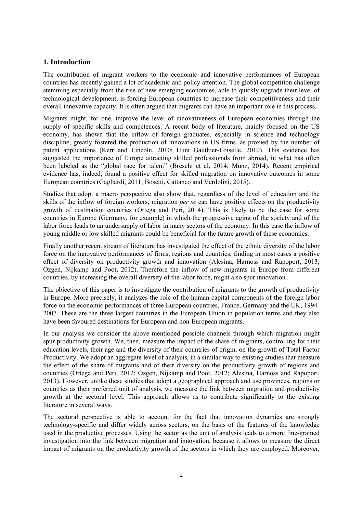#### **1. Introduction**

The contribution of migrant workers to the economic and innovative performances of European countries has recently gained a lot of academic and policy attention. The global competition challenge stemming especially from the rise of new emerging economies, able to quickly upgrade their level of technological development, is forcing European countries to increase their competitiveness and their overall innovative capacity. It is often argued that migrants can have an important role in this process.

Migrants might, for one, improve the level of innovativeness of European economies through the supply of specific skills and competences. A recent body of literature, mainly focused on the US economy, has shown that the inflow of foreign graduates, especially in science and technology discipline, greatly fostered the production of innovations in US firms, as proxied by the number of patent applications (Kerr and Lincoln, 2010; Hunt Gauthier-Loiselle, 2010). This evidence has suggested the importance of Europe attracting skilled professionals from abroad, in what has often been labeled as the "global race for talent" (Breschi et al, 2014; Münz, 2014). Recent empirical evidence has, indeed, found a positive effect for skilled migration on innovative outcomes in some European countries (Gagliardi, 2011; Bosetti, Cattaneo and Verdolini, 2015).

Studies that adopt a macro perspective also show that, regardless of the level of education and the skills of the inflow of foreign workers, migration *per se* can have positive effects on the productivity growth of destination countries (Ortega and Peri, 2014). This is likely to be the case for some countries in Europe (Germany, for example) in which the progressive aging of the society and of the labor force leads to an undersupply of labor in many sectors of the economy. In this case the inflow of young middle or low skilled migrants could be beneficial for the future growth of these economies.

Finally another recent stream of literature has investigated the effect of the ethnic diversity of the labor force on the innovative performances of firms, regions and countries, finding in most cases a positive effect of diversity on productivity growth and innovation (Alesina, Harnoss and Rapoport, 2013; Ozgen, Nijkamp and Poot, 2012). Therefore the inflow of new migrants in Europe from different countries, by increasing the overall diversity of the labor force, might also spur innovation.

The objective of this paper is to investigate the contribution of migrants to the growth of productivity in Europe. More precisely, it analyzes the role of the human-capital components of the foreign labor force on the economic performances of three European countries, France, Germany and the UK, 1994- 2007. These are the three largest countries in the European Union in population terms and they also have been favoured destinations for European and non-European migrants.

In our analysis we consider the above mentioned possible channels through which migration might spur productivity growth. We, then, measure the impact of the share of migrants, controlling for their education levels, their age and the diversity of their countries of origin, on the growth of Total Factor Productivity. We adopt an aggregate level of analysis, in a similar way to existing studies that measure the effect of the share of migrants and of their diversity on the productivity growth of regions and countries (Ortega and Peri, 2012; Ozgen, Nijkamp and Poot, 2012; Alesina, Harnoss and Rapoport, 2013). However, unlike these studies that adopt a geographical approach and use provinces, regions or countries as their preferred unit of analysis, we measure the link between migration and productivity growth at the sectoral level. This approach allows us to contribute significantly to the existing literature in several ways.

The sectoral perspective is able to account for the fact that innovation dynamics are strongly technology-specific and differ widely across sectors, on the basis of the features of the knowledge used in the productive processes. Using the sector as the unit of analysis leads to a more fine-grained investigation into the link between migration and innovation, because it allows to measure the direct impact of migrants on the productivity growth of the sectors in which they are employed. Moreover,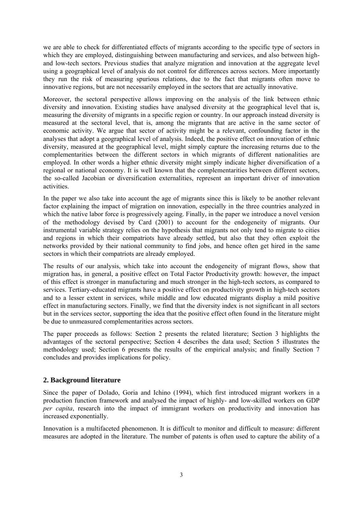we are able to check for differentiated effects of migrants according to the specific type of sectors in which they are employed, distinguishing between manufacturing and services, and also between highand low-tech sectors. Previous studies that analyze migration and innovation at the aggregate level using a geographical level of analysis do not control for differences across sectors. More importantly they run the risk of measuring spurious relations, due to the fact that migrants often move to innovative regions, but are not necessarily employed in the sectors that are actually innovative.

Moreover, the sectoral perspective allows improving on the analysis of the link between ethnic diversity and innovation. Existing studies have analysed diversity at the geographical level that is, measuring the diversity of migrants in a specific region or country. In our approach instead diversity is measured at the sectoral level, that is, among the migrants that are active in the same sector of economic activity. We argue that sector of activity might be a relevant, confounding factor in the analyses that adopt a geographical level of analysis. Indeed, the positive effect on innovation of ethnic diversity, measured at the geographical level, might simply capture the increasing returns due to the complementarities between the different sectors in which migrants of different nationalities are employed. In other words a higher ethnic diversity might simply indicate higher diversification of a regional or national economy. It is well known that the complementarities between different sectors, the so-called Jacobian or diversification externalities, represent an important driver of innovation activities.

In the paper we also take into account the age of migrants since this is likely to be another relevant factor explaining the impact of migration on innovation, especially in the three countries analyzed in which the native labor force is progressively ageing. Finally, in the paper we introduce a novel version of the methodology devised by Card (2001) to account for the endogeneity of migrants. Our instrumental variable strategy relies on the hypothesis that migrants not only tend to migrate to cities and regions in which their compatriots have already settled, but also that they often exploit the networks provided by their national community to find jobs, and hence often get hired in the same sectors in which their compatriots are already employed.

The results of our analysis, which take into account the endogeneity of migrant flows, show that migration has, in general, a positive effect on Total Factor Productivity growth: however, the impact of this effect is stronger in manufacturing and much stronger in the high-tech sectors, as compared to services. Tertiary-educated migrants have a positive effect on productivity growth in high-tech sectors and to a lesser extent in services, while middle and low educated migrants display a mild positive effect in manufacturing sectors. Finally, we find that the diversity index is not significant in all sectors but in the services sector, supporting the idea that the positive effect often found in the literature might be due to unmeasured complementarities across sectors.

The paper proceeds as follows: Section 2 presents the related literature; Section 3 highlights the advantages of the sectoral perspective; Section 4 describes the data used; Section 5 illustrates the methodology used; Section 6 presents the results of the empirical analysis; and finally Section 7 concludes and provides implications for policy.

#### **2. Background literature**

Since the paper of Dolado, Goria and Ichino (1994), which first introduced migrant workers in a production function framework and analysed the impact of highly- and low-skilled workers on GDP *per capita*, research into the impact of immigrant workers on productivity and innovation has increased exponentially.

Innovation is a multifaceted phenomenon. It is difficult to monitor and difficult to measure: different measures are adopted in the literature. The number of patents is often used to capture the ability of a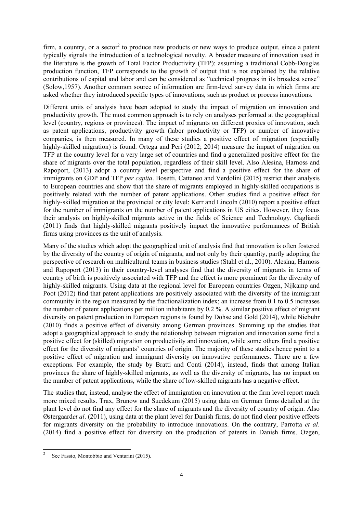firm, a country, or a sector<sup>2</sup> to produce new products or new ways to produce output, since a patent typically signals the introduction of a technological novelty. A broader measure of innovation used in the literature is the growth of Total Factor Productivity (TFP): assuming a traditional Cobb-Douglas production function, TFP corresponds to the growth of output that is not explained by the relative contributions of capital and labor and can be considered as "technical progress in its broadest sense" (Solow,1957). Another common source of information are firm-level survey data in which firms are asked whether they introduced specific types of innovations, such as product or process innovations.

Different units of analysis have been adopted to study the impact of migration on innovation and productivity growth. The most common approach is to rely on analyses performed at the geographical level (country, regions or provinces). The impact of migrants on different proxies of innovation, such as patent applications, productivity growth (labor productivity or TFP) or number of innovative companies, is then measured. In many of these studies a positive effect of migration (especially highly-skilled migration) is found. Ortega and Peri (2012; 2014) measure the impact of migration on TFP at the country level for a very large set of countries and find a generalized positive effect for the share of migrants over the total population, regardless of their skill level. Also Alesina, Harnoss and Rapoport, (2013) adopt a country level perspective and find a positive effect for the share of immigrants on GDP and TFP *per capita*. Bosetti, Cattaneo and Verdolini (2015) restrict their analysis to European countries and show that the share of migrants employed in highly-skilled occupations is positively related with the number of patent applications. Other studies find a positive effect for highly-skilled migration at the provincial or city level: Kerr and Lincoln (2010) report a positive effect for the number of immigrants on the number of patent applications in US cities. However, they focus their analysis on highly-skilled migrants active in the fields of Science and Technology. Gagliardi (2011) finds that highly-skilled migrants positively impact the innovative performances of British firms using provinces as the unit of analysis.

Many of the studies which adopt the geographical unit of analysis find that innovation is often fostered by the diversity of the country of origin of migrants, and not only by their quantity, partly adopting the perspective of research on multicultural teams in business studies (Stahl et al., 2010). Alesina, Harnoss and Rapoport (2013) in their country-level analyses find that the diversity of migrants in terms of country of birth is positively associated with TFP and the effect is more prominent for the diversity of highly-skilled migrants. Using data at the regional level for European countries Ozgen, Nijkamp and Poot (2012) find that patent applications are positively associated with the diversity of the immigrant community in the region measured by the fractionalization index; an increase from 0.1 to 0.5 increases the number of patent applications per million inhabitants by 0.2 %. A similar positive effect of migrant diversity on patent production in European regions is found by Dohse and Gold (2014), while Niebuhr (2010) finds a positive effect of diversity among German provinces. Summing up the studies that adopt a geographical approach to study the relationship between migration and innovation some find a positive effect for (skilled) migration on productivity and innovation, while some others find a positive effect for the diversity of migrants' countries of origin. The majority of these studies hence point to a positive effect of migration and immigrant diversity on innovative performances. There are a few exceptions. For example, the study by Bratti and Conti (2014), instead, finds that among Italian provinces the share of highly-skilled migrants, as well as the diversity of migrants, has no impact on the number of patent applications, while the share of low-skilled migrants has a negative effect.

The studies that, instead, analyse the effect of immigration on innovation at the firm level report much more mixed results. Trax, Brunow and Suedekum (2015) using data on German firms detailed at the plant level do not find any effect for the share of migrants and the diversity of country of origin. Also Østergaard*et al*. (2011), using data at the plant level for Danish firms, do not find clear positive effects for migrants diversity on the probability to introduce innovations. On the contrary, Parrotta *et al*. (2014) find a positive effect for diversity on the production of patents in Danish firms. Ozgen,

 $\frac{1}{2}$ See Fassio, Montobbio and Venturini (2015).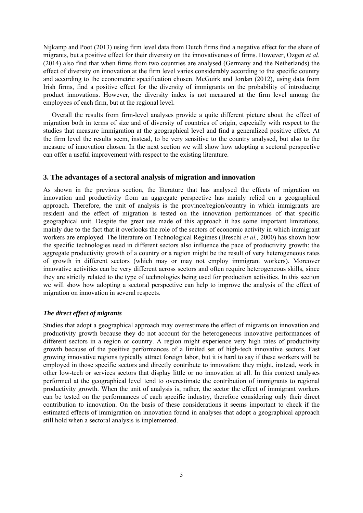Nijkamp and Poot (2013) using firm level data from Dutch firms find a negative effect for the share of migrants, but a positive effect for their diversity on the innovativeness of firms. However, Ozgen *et al.*  (2014) also find that when firms from two countries are analysed (Germany and the Netherlands) the effect of diversity on innovation at the firm level varies considerably according to the specific country and according to the econometric specification chosen. McGuirk and Jordan (2012), using data from Irish firms, find a positive effect for the diversity of immigrants on the probability of introducing product innovations. However, the diversity index is not measured at the firm level among the employees of each firm, but at the regional level.

Overall the results from firm-level analyses provide a quite different picture about the effect of migration both in terms of size and of diversity of countries of origin, especially with respect to the studies that measure immigration at the geographical level and find a generalized positive effect. At the firm level the results seem, instead, to be very sensitive to the country analysed, but also to the measure of innovation chosen. In the next section we will show how adopting a sectoral perspective can offer a useful improvement with respect to the existing literature.

#### **3. The advantages of a sectoral analysis of migration and innovation**

As shown in the previous section, the literature that has analysed the effects of migration on innovation and productivity from an aggregate perspective has mainly relied on a geographical approach. Therefore, the unit of analysis is the province/region/country in which immigrants are resident and the effect of migration is tested on the innovation performances of that specific geographical unit. Despite the great use made of this approach it has some important limitations, mainly due to the fact that it overlooks the role of the sectors of economic activity in which immigrant workers are employed. The literature on Technological Regimes (Breschi *et al.,* 2000) has shown how the specific technologies used in different sectors also influence the pace of productivity growth: the aggregate productivity growth of a country or a region might be the result of very heterogeneous rates of growth in different sectors (which may or may not employ immigrant workers). Moreover innovative activities can be very different across sectors and often require heterogeneous skills, since they are strictly related to the type of technologies being used for production activities. In this section we will show how adopting a sectoral perspective can help to improve the analysis of the effect of migration on innovation in several respects.

#### *The direct effect of migrants*

Studies that adopt a geographical approach may overestimate the effect of migrants on innovation and productivity growth because they do not account for the heterogeneous innovative performances of different sectors in a region or country. A region might experience very high rates of productivity growth because of the positive performances of a limited set of high-tech innovative sectors. Fast growing innovative regions typically attract foreign labor, but it is hard to say if these workers will be employed in those specific sectors and directly contribute to innovation: they might, instead, work in other low-tech or services sectors that display little or no innovation at all. In this context analyses performed at the geographical level tend to overestimate the contribution of immigrants to regional productivity growth. When the unit of analysis is, rather, the sector the effect of immigrant workers can be tested on the performances of each specific industry, therefore considering only their direct contribution to innovation. On the basis of these considerations it seems important to check if the estimated effects of immigration on innovation found in analyses that adopt a geographical approach still hold when a sectoral analysis is implemented.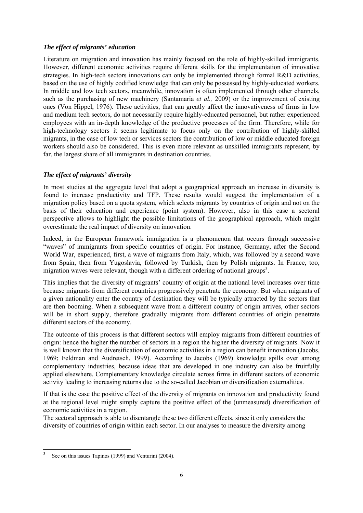#### *The effect of migrants' education*

Literature on migration and innovation has mainly focused on the role of highly-skilled immigrants. However, different economic activities require different skills for the implementation of innovative strategies. In high-tech sectors innovations can only be implemented through formal R&D activities, based on the use of highly codified knowledge that can only be possessed by highly-educated workers. In middle and low tech sectors, meanwhile, innovation is often implemented through other channels, such as the purchasing of new machinery (Santamaria *et al.,* 2009) or the improvement of existing ones (Von Hippel, 1976). These activities, that can greatly affect the innovativeness of firms in low and medium tech sectors, do not necessarily require highly-educated personnel, but rather experienced employees with an in-depth knowledge of the productive processes of the firm. Therefore, while for high-technology sectors it seems legitimate to focus only on the contribution of highly-skilled migrants, in the case of low tech or services sectors the contribution of low or middle educated foreign workers should also be considered. This is even more relevant as unskilled immigrants represent, by far, the largest share of all immigrants in destination countries.

#### *The effect of migrants' diversity*

In most studies at the aggregate level that adopt a geographical approach an increase in diversity is found to increase productivity and TFP. These results would suggest the implementation of a migration policy based on a quota system, which selects migrants by countries of origin and not on the basis of their education and experience (point system). However, also in this case a sectoral perspective allows to highlight the possible limitations of the geographical approach, which might overestimate the real impact of diversity on innovation.

Indeed, in the European framework immigration is a phenomenon that occurs through successive "waves" of immigrants from specific countries of origin. For instance, Germany, after the Second World War, experienced, first, a wave of migrants from Italy, which, was followed by a second wave from Spain, then from Yugoslavia, followed by Turkish, then by Polish migrants. In France, too, migration waves were relevant, though with a different ordering of national groups<sup>3</sup>.

This implies that the diversity of migrants' country of origin at the national level increases over time because migrants from different countries progressively penetrate the economy. But when migrants of a given nationality enter the country of destination they will be typically attracted by the sectors that are then booming. When a subsequent wave from a different country of origin arrives, other sectors will be in short supply, therefore gradually migrants from different countries of origin penetrate different sectors of the economy.

The outcome of this process is that different sectors will employ migrants from different countries of origin: hence the higher the number of sectors in a region the higher the diversity of migrants. Now it is well known that the diversification of economic activities in a region can benefit innovation (Jacobs, 1969; Feldman and Audretsch, 1999). According to Jacobs (1969) knowledge spills over among complementary industries, because ideas that are developed in one industry can also be fruitfully applied elsewhere. Complementary knowledge circulate across firms in different sectors of economic activity leading to increasing returns due to the so-called Jacobian or diversification externalities.

If that is the case the positive effect of the diversity of migrants on innovation and productivity found at the regional level might simply capture the positive effect of the (unmeasured) diversification of economic activities in a region.

The sectoral approach is able to disentangle these two different effects, since it only considers the diversity of countries of origin within each sector. In our analyses to measure the diversity among

<sup>-</sup>3 See on this issues Tapinos (1999) and Venturini (2004).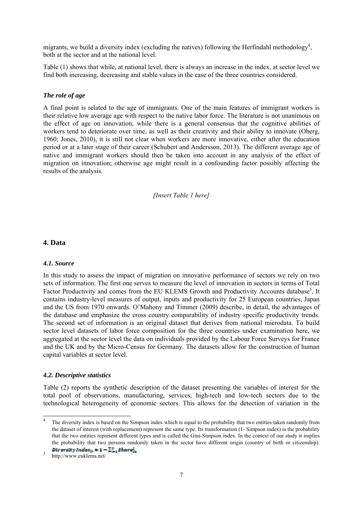migrants, we build a diversity index (excluding the natives) following the Herfindahl methodology<sup>4</sup>, both at the sector and at the national level.

Table (1) shows that while, at national level, there is always an increase in the index, at sector level we find both increasing, decreasing and stable values in the case of the three countries considered.

#### *The role of age*

A final point is related to the age of immigrants. One of the main features of immigrant workers is their relative low average age with respect to the native labor force. The literature is not unanimous on the effect of age on innovation, while there is a general consensus that the cognitive abilities of workers tend to deteriorate over time, as well as their creativity and their ability to innovate (Oberg, 1960; Jones, 2010), it is still not clear when workers are more innovative, either after the education period or at a later stage of their career (Schubert and Andersson, 2013). The different average age of native and immigrant workers should then be taken into account in any analysis of the effect of migration on innovation; otherwise age might result in a confounding factor possibly affecting the results of the analysis.

*[Insert Table 1 here]* 

#### **4. Data**

#### *4.1. Source*

In this study to assess the impact of migration on innovative performance of sectors we rely on two sets of information. The first one serves to measure the level of innovation in sectors in terms of Total Factor Productivity and comes from the EU KLEMS Growth and Productivity Accounts database<sup>5</sup>. It contains industry-level measures of output, inputs and productivity for 25 European countries, Japan and the US from 1970 onwards. O'Mahony and Timmer (2009) describe, in detail, the advantages of the database and emphasize the cross country comparability of industry specific productivity trends. The second set of information is an original dataset that derives from national microdata. To build sector level datasets of labor force composition for the three countries under examination here, we aggregated at the sector level the data on individuals provided by the Labour Force Surveys for France and the UK and by the Micro-Census for Germany. The datasets allow for the construction of human capital variables at sector level.

#### *4.2. Descriptive statistics*

Table (2) reports the synthetic description of the dataset presenting the variables of interest for the total pool of observations, manufacturing, services, high-tech and low-tech sectors due to the technological heterogeneity of economic sectors. This allows for the detection of variation in the

1

<sup>4</sup> The diversity index is based on the Simpson index which is equal to the probability that two entities taken randomly from the dataset of interest (with replacement) represent the same type. Its transformation (1- Simpson index) is the probability that the two entities represent different types and is called the Gini-Simpson index. In the context of our study it implies the probability that two persons randomly taken in the sector have different origin (country of birth or citizenship). Diversity  $Index_k = 1 - \sum_{i=1}^N Share_{in}^2$ 

<sup>5</sup> http://www.euklems.net/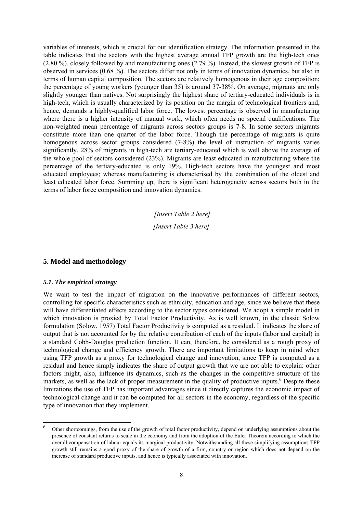variables of interests, which is crucial for our identification strategy. The information presented in the table indicates that the sectors with the highest average annual TFP growth are the high-tech ones (2.80 %), closely followed by and manufacturing ones (2.79 %). Instead, the slowest growth of TFP is observed in services (0.68 %). The sectors differ not only in terms of innovation dynamics, but also in terms of human capital composition. The sectors are relatively homogenous in their age composition; the percentage of young workers (younger than 35) is around 37-38%. On average, migrants are only slightly younger than natives. Not surprisingly the highest share of tertiary-educated individuals is in high-tech, which is usually characterized by its position on the margin of technological frontiers and, hence, demands a highly-qualified labor force. The lowest percentage is observed in manufacturing where there is a higher intensity of manual work, which often needs no special qualifications. The non-weighted mean percentage of migrants across sectors groups is 7-8. In some sectors migrants constitute more than one quarter of the labor force. Though the percentage of migrants is quite homogenous across sector groups considered (7-8%) the level of instruction of migrants varies significantly. 28% of migrants in high-tech are tertiary-educated which is well above the average of the whole pool of sectors considered (23%). Migrants are least educated in manufacturing where the percentage of the tertiary-educated is only 19%. High-tech sectors have the youngest and most educated employees; whereas manufacturing is characterised by the combination of the oldest and least educated labor force. Summing up, there is significant heterogeneity across sectors both in the terms of labor force composition and innovation dynamics.

> *[Insert Table 2 here] [Insert Table 3 here]*

#### **5. Model and methodology**

#### *5.1. The empirical strategy*

1

We want to test the impact of migration on the innovative performances of different sectors, controlling for specific characteristics such as ethnicity, education and age, since we believe that these will have differentiated effects according to the sector types considered. We adopt a simple model in which innovation is proxied by Total Factor Productivity. As is well known, in the classic Solow formulation (Solow, 1957) Total Factor Productivity is computed as a residual. It indicates the share of output that is not accounted for by the relative contribution of each of the inputs (labor and capital) in a standard Cobb-Douglas production function. It can, therefore, be considered as a rough proxy of technological change and efficiency growth. There are important limitations to keep in mind when using TFP growth as a proxy for technological change and innovation, since TFP is computed as a residual and hence simply indicates the share of output growth that we are not able to explain: other factors might, also, influence its dynamics, such as the changes in the competitive structure of the markets, as well as the lack of proper measurement in the quality of productive inputs.<sup>6</sup> Despite these limitations the use of TFP has important advantages since it directly captures the economic impact of technological change and it can be computed for all sectors in the economy, regardless of the specific type of innovation that they implement.

<sup>6</sup> Other shortcomings, from the use of the growth of total factor productivity, depend on underlying assumptions about the presence of constant returns to scale in the economy and from the adoption of the Euler Theorem according to which the overall compensation of labour equals its marginal productivity. Notwithstanding all these simplifying assumptions TFP growth still remains a good proxy of the share of growth of a firm, country or region which does not depend on the increase of standard productive inputs, and hence is typically associated with innovation.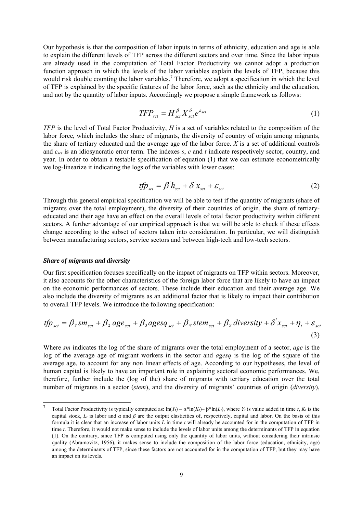Our hypothesis is that the composition of labor inputs in terms of ethnicity, education and age is able to explain the different levels of TFP across the different sectors and over time. Since the labor inputs are already used in the computation of Total Factor Productivity we cannot adopt a production function approach in which the levels of the labor variables explain the levels of TFP, because this would risk double counting the labor variables.<sup>7</sup> Therefore, we adopt a specification in which the level of TFP is explained by the specific features of the labor force, such as the ethnicity and the education, and not by the quantity of labor inputs. Accordingly we propose a simple framework as follows:

$$
TFP_{\text{set}} = H_{\text{set}}^{\beta} X_{\text{set}}^{\delta} e^{\varepsilon_{\text{set}}} \tag{1}
$$

*TFP* is the level of Total Factor Productivity, *H* is a set of variables related to the composition of the labor force, which includes the share of migrants, the diversity of country of origin among migrants, the share of tertiary educated and the average age of the labor force. *X* is a set of additional controls and *εsct* is an idiosyncratic error term. The indexes *s*, *c* and *t* indicate respectively sector, country, and year. In order to obtain a testable specification of equation (1) that we can estimate econometrically we log-linearize it indicating the logs of the variables with lower cases:

$$
tfp_{\text{set}} = \beta h_{\text{set}} + \delta x_{\text{set}} + \varepsilon_{\text{set}}
$$
 (2)

Through this general empirical specification we will be able to test if the quantity of migrants (share of migrants over the total employment), the diversity of their countries of origin, the share of tertiaryeducated and their age have an effect on the overall levels of total factor productivity within different sectors. A further advantage of our empirical approach is that we will be able to check if these effects change according to the subset of sectors taken into consideration. In particular, we will distinguish between manufacturing sectors, service sectors and between high-tech and low-tech sectors.

#### *Share of migrants and diversity*

1

Our first specification focuses specifically on the impact of migrants on TFP within sectors. Moreover, it also accounts for the other characteristics of the foreign labor force that are likely to have an impact on the economic performances of sectors. These include their education and their average age. We also include the diversity of migrants as an additional factor that is likely to impact their contribution to overall TFP levels. We introduce the following specification:

$$
tfp_{\text{set}} = \beta_{1} \cdot sm_{\text{set}} + \beta_{2} \cdot age_{\text{set}} + \beta_{3} \cdot agesq_{\text{set}} + \beta_{4} \cdot stem_{\text{set}} + \beta_{5} \cdot diversity + \delta' x_{\text{set}} + \eta_{t} + \varepsilon_{\text{set}}
$$
\n(3)

Where *sm* indicates the log of the share of migrants over the total employment of a sector, *age* is the log of the average age of migrant workers in the sector and *agesq* is the log of the square of the average age, to account for any non linear effects of age. According to our hypotheses, the level of human capital is likely to have an important role in explaining sectoral economic performances. We, therefore, further include the (log of the) share of migrants with tertiary education over the total number of migrants in a sector (*stem*), and the diversity of migrants' countries of origin (*diversity*),

<sup>7</sup> Total Factor Productivity is typically computed as:  $\ln(Y_t) - \alpha^* \ln(K_t) - \beta^* \ln(L_t)$ , where  $Y_t$  is value added in time  $t$ ,  $K_t$  is the capital stock,  $L_t$  is labor and  $\alpha$  and  $\beta$  are the output elasticities of, respectively, capital and labor. On the basis of this formula it is clear that an increase of labor units *L* in time *t* will already be accounted for in the computation of TFP in time *t*. Therefore, it would not make sense to include the levels of labor units among the determinants of TFP in equation (1). On the contrary, since TFP is computed using only the quantity of labor units, without considering their intrinsic quality (Abramovitz, 1956), it makes sense to include the composition of the labor force (education, ethnicity, age) among the determinants of TFP, since these factors are not accounted for in the computation of TFP, but they may have an impact on its levels.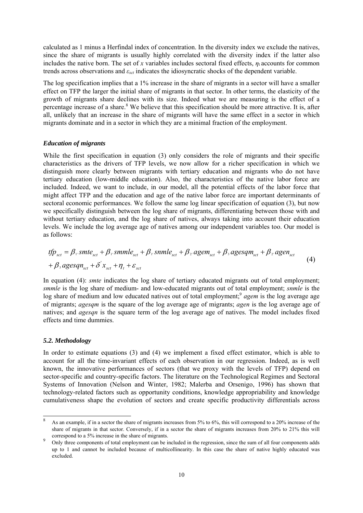calculated as 1 minus a Herfindal index of concentration. In the diversity index we exclude the natives, since the share of migrants is usually highly correlated with the diversity index if the latter also includes the native born. The set of *x* variables includes sectoral fixed effects,  $\eta_t$  accounts for common trends across observations and *εsct* indicates the idiosyncratic shocks of the dependent variable.

The log specification implies that a 1% increase in the share of migrants in a sector will have a smaller effect on TFP the larger the initial share of migrants in that sector. In other terms, the elasticity of the growth of migrants share declines with its size. Indeed what we are measuring is the effect of a percentage increase of a share.<sup>8</sup> We believe that this specification should be more attractive. It is, after all, unlikely that an increase in the share of migrants will have the same effect in a sector in which migrants dominate and in a sector in which they are a minimal fraction of the employment.

#### *Education of migrants*

While the first specification in equation (3) only considers the role of migrants and their specific characteristics as the drivers of TFP levels, we now allow for a richer specification in which we distinguish more clearly between migrants with tertiary education and migrants who do not have tertiary education (low-middle education). Also, the characteristics of the native labor force are included. Indeed, we want to include, in our model, all the potential effects of the labor force that might affect TFP and the education and age of the native labor force are important determinants of sectoral economic performances. We follow the same log linear specification of equation (3), but now we specifically distinguish between the log share of migrants, differentiating between those with and without tertiary education, and the log share of natives, always taking into account their education levels. We include the log average age of natives among our independent variables too. Our model is as follows:

$$
tfp_{\text{set}} = \beta_{\text{v}} \text{smte}_{\text{set}} + \beta_{\text{v}} \text{smmle}_{\text{set}} + \beta_{\text{v}} \text{smmle}_{\text{set}} + \beta_{\text{v}} \text{asmle}_{\text{set}} + \beta_{\text{v}} \text{agem}_{\text{set}} + \beta_{\text{s}} \text{agesqm}_{\text{set}} + \beta_{\text{v}} \text{agen}_{\text{set}}
$$
\n
$$
+ \beta_{\text{s}} \text{agesqn}_{\text{set}} + \delta' x_{\text{set}} + \eta_{\text{t}} + \varepsilon_{\text{set}}
$$
\n
$$
(4)
$$

In equation (4): *smte* indicates the log share of tertiary educated migrants out of total employment; *smmle* is the log share of medium- and low-educated migrants out of total employment; *snmle* is the log share of medium and low educated natives out of total employment;<sup>9</sup> *agem* is the log average age of migrants; *agesqm* is the square of the log average age of migrants; *agen* is the log average age of natives; and *agesqn* is the square term of the log average age of natives. The model includes fixed effects and time dummies.

#### *5.2. Methodology*

1

In order to estimate equations (3) and (4) we implement a fixed effect estimator, which is able to account for all the time-invariant effects of each observation in our regression. Indeed, as is well known, the innovative performances of sectors (that we proxy with the levels of TFP) depend on sector-specific and country-specific factors. The literature on the Technological Regimes and Sectoral Systems of Innovation (Nelson and Winter, 1982; Malerba and Orsenigo, 1996) has shown that technology-related factors such as opportunity conditions, knowledge appropriability and knowledge cumulativeness shape the evolution of sectors and create specific productivity differentials across

<sup>8</sup> As an example, if in a sector the share of migrants increases from 5% to 6%, this will correspond to a 20% increase of the share of migrants in that sector. Conversely, if in a sector the share of migrants increases from 20% to 21% this will correspond to a 5% increase in the share of migrants.

Only three components of total employment can be included in the regression, since the sum of all four components adds up to 1 and cannot be included because of multicollinearity. In this case the share of native highly educated was excluded.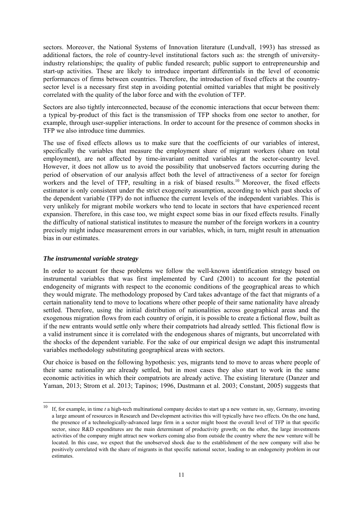sectors. Moreover, the National Systems of Innovation literature (Lundvall, 1993) has stressed as additional factors, the role of country-level institutional factors such as: the strength of universityindustry relationships; the quality of public funded research; public support to entrepreneurship and start-up activities. These are likely to introduce important differentials in the level of economic performances of firms between countries. Therefore, the introduction of fixed effects at the countrysector level is a necessary first step in avoiding potential omitted variables that might be positively correlated with the quality of the labor force and with the evolution of TFP.

Sectors are also tightly interconnected, because of the economic interactions that occur between them: a typical by-product of this fact is the transmission of TFP shocks from one sector to another, for example, through user-supplier interactions. In order to account for the presence of common shocks in TFP we also introduce time dummies.

The use of fixed effects allows us to make sure that the coefficients of our variables of interest, specifically the variables that measure the employment share of migrant workers (share on total employment), are not affected by time-invariant omitted variables at the sector-country level. However, it does not allow us to avoid the possibility that unobserved factors occurring during the period of observation of our analysis affect both the level of attractiveness of a sector for foreign workers and the level of TFP, resulting in a risk of biased results.<sup>10</sup> Moreover, the fixed effects estimator is only consistent under the strict exogeneity assumption, according to which past shocks of the dependent variable (TFP) do not influence the current levels of the independent variables. This is very unlikely for migrant mobile workers who tend to locate in sectors that have experienced recent expansion. Therefore, in this case too, we might expect some bias in our fixed effects results. Finally the difficulty of national statistical institutes to measure the number of the foreign workers in a country precisely might induce measurement errors in our variables, which, in turn, might result in attenuation bias in our estimates.

#### *The instrumental variable strategy*

1

In order to account for these problems we follow the well-known identification strategy based on instrumental variables that was first implemented by Card (2001) to account for the potential endogeneity of migrants with respect to the economic conditions of the geographical areas to which they would migrate. The methodology proposed by Card takes advantage of the fact that migrants of a certain nationality tend to move to locations where other people of their same nationality have already settled. Therefore, using the initial distribution of nationalities across geographical areas and the exogenous migration flows from each country of origin, it is possible to create a fictional flow, built as if the new entrants would settle only where their compatriots had already settled. This fictional flow is a valid instrument since it is correlated with the endogenous shares of migrants, but uncorrelated with the shocks of the dependent variable. For the sake of our empirical design we adapt this instrumental variables methodology substituting geographical areas with sectors.

Our choice is based on the following hypothesis: yes, migrants tend to move to areas where people of their same nationality are already settled, but in most cases they also start to work in the same economic activities in which their compatriots are already active. The existing literature (Danzer and Yaman, 2013; Strom et al. 2013; Tapinos; 1996, Dustmann et al. 2003; Constant, 2005) suggests that

<sup>10</sup> If, for example, in time *t* a high-tech multinational company decides to start up a new venture in, say, Germany, investing a large amount of resources in Research and Development activities this will typically have two effects. On the one hand, the presence of a technologically-advanced large firm in a sector might boost the overall level of TFP in that specific sector, since R&D expenditures are the main determinant of productivity growth; on the other, the large investments activities of the company might attract new workers coming also from outside the country where the new venture will be located. In this case, we expect that the unobserved shock due to the establishment of the new company will also be positively correlated with the share of migrants in that specific national sector, leading to an endogeneity problem in our estimates.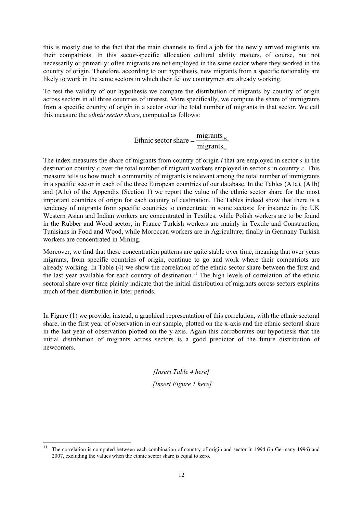this is mostly due to the fact that the main channels to find a job for the newly arrived migrants are their compatriots. In this sector-specific allocation cultural ability matters, of course, but not necessarily or primarily: often migrants are not employed in the same sector where they worked in the country of origin. Therefore, according to our hypothesis, new migrants from a specific nationality are likely to work in the same sectors in which their fellow countrymen are already working.

To test the validity of our hypothesis we compare the distribution of migrants by country of origin across sectors in all three countries of interest. More specifically, we compute the share of immigrants from a specific country of origin in a sector over the total number of migrants in that sector. We call this measure the *ethnic sector share*, computed as follows:

> sc isc migrants Ethnic sector share  $=\frac{\text{migrams}}{\text{a}}$

The index measures the share of migrants from country of origin *i* that are employed in sector *s* in the destination country *c* over the total number of migrant workers employed in sector *s* in country *c*. This measure tells us how much a community of migrants is relevant among the total number of immigrants in a specific sector in each of the three European countries of our database. In the Tables (A1a), (A1b) and (A1c) of the Appendix (Section 1) we report the value of the ethnic sector share for the most important countries of origin for each country of destination. The Tables indeed show that there is a tendency of migrants from specific countries to concentrate in some sectors: for instance in the UK Western Asian and Indian workers are concentrated in Textiles, while Polish workers are to be found in the Rubber and Wood sector; in France Turkish workers are mainly in Textile and Construction, Tunisians in Food and Wood, while Moroccan workers are in Agriculture; finally in Germany Turkish workers are concentrated in Mining.

Moreover, we find that these concentration patterns are quite stable over time, meaning that over years migrants, from specific countries of origin, continue to go and work where their compatriots are already working. In Table (4) we show the correlation of the ethnic sector share between the first and the last year available for each country of destination.<sup>11</sup> The high levels of correlation of the ethnic sectoral share over time plainly indicate that the initial distribution of migrants across sectors explains much of their distribution in later periods.

In Figure (1) we provide, instead, a graphical representation of this correlation, with the ethnic sectoral share, in the first year of observation in our sample, plotted on the x-axis and the ethnic sectoral share in the last year of observation plotted on the y-axis. Again this corroborates our hypothesis that the initial distribution of migrants across sectors is a good predictor of the future distribution of newcomers.

> *[Insert Table 4 here] [Insert Figure 1 here]*

1

<sup>11</sup> The correlation is computed between each combination of country of origin and sector in 1994 (in Germany 1996) and 2007, excluding the values when the ethnic sector share is equal to zero.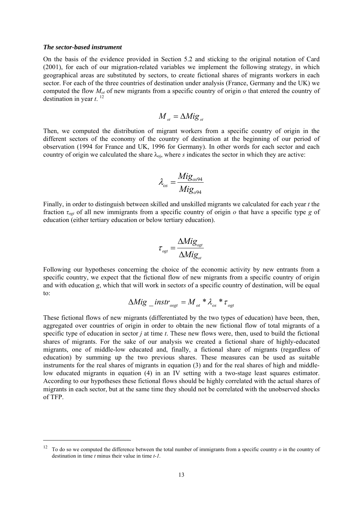#### *The sector-based instrument*

-

On the basis of the evidence provided in Section 5.2 and sticking to the original notation of Card (2001), for each of our migration-related variables we implement the following strategy, in which geographical areas are substituted by sectors, to create fictional shares of migrants workers in each sector. For each of the three countries of destination under analysis (France, Germany and the UK) we computed the flow  $M_{\alpha\beta}$  of new migrants from a specific country of origin  $\alpha$  that entered the country of destination in year  $t$ . <sup>12</sup>

$$
\overline{M}_{_{ot}} = \Delta M i g_{_{ot}}
$$

Then, we computed the distribution of migrant workers from a specific country of origin in the different sectors of the economy of the country of destination at the beginning of our period of observation (1994 for France and UK, 1996 for Germany). In other words for each sector and each country of origin we calculated the share  $\lambda_{oj}$ , where *s* indicates the sector in which they are active:

$$
\lambda_{os} = \frac{Mig_{os94}}{Mig_{o94}}
$$

Finally, in order to distinguish between skilled and unskilled migrants we calculated for each year *t* the fraction *τogt* of all new immigrants from a specific country of origin *o* that have a specific type *g* of education (either tertiary education or below tertiary education).

$$
\tau_{\text{ogt}} = \frac{\Delta M i g_{\text{ogt}}}{\Delta M i g_{\text{ot}}}
$$

Following our hypotheses concerning the choice of the economic activity by new entrants from a specific country, we expect that the fictional flow of new migrants from a specific country of origin and with education *g*, which that will work in sector*s* of a specific country of destination, will be equal to:

$$
\Delta Mig\_instr_{osgt} = M_{ot} * \lambda_{os} * \tau_{ogt}
$$

These fictional flows of new migrants (differentiated by the two types of education) have been, then, aggregated over countries of origin in order to obtain the new fictional flow of total migrants of a specific type of education in sector *j* at time *t*. These new flows were, then, used to build the fictional shares of migrants. For the sake of our analysis we created a fictional share of highly-educated migrants, one of middle-low educated and, finally, a fictional share of migrants (regardless of education) by summing up the two previous shares. These measures can be used as suitable instruments for the real shares of migrants in equation (3) and for the real shares of high and middlelow educated migrants in equation (4) in an IV setting with a two-stage least squares estimator. According to our hypotheses these fictional flows should be highly correlated with the actual shares of migrants in each sector, but at the same time they should not be correlated with the unobserved shocks of TFP.

<sup>&</sup>lt;sup>12</sup> To do so we computed the difference between the total number of immigrants from a specific country  $o$  in the country of destination in time *t* minus their value in time *t-1*.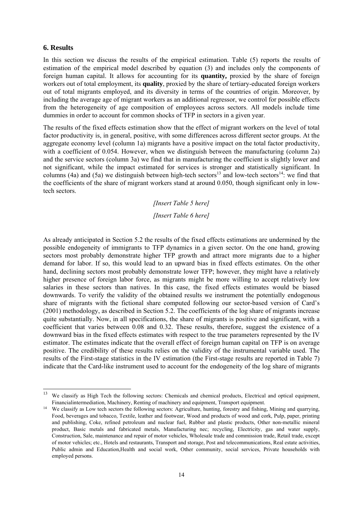#### **6. Results**

-

In this section we discuss the results of the empirical estimation. Table (5) reports the results of estimation of the empirical model described by equation (3) and includes only the components of foreign human capital. It allows for accounting for its **quantity,** proxied by the share of foreign workers out of total employment, its **quality**, proxied by the share of tertiary-educated foreign workers out of total migrants employed, and its diversity in terms of the countries of origin. Moreover, by including the average age of migrant workers as an additional regressor, we control for possible effects from the heterogeneity of age composition of employees across sectors. All models include time dummies in order to account for common shocks of TFP in sectors in a given year.

The results of the fixed effects estimation show that the effect of migrant workers on the level of total factor productivity is, in general, positive, with some differences across different sector groups. At the aggregate economy level (column 1a) migrants have a positive impact on the total factor productivity, with a coefficient of 0.054. However, when we distinguish between the manufacturing (column 2a) and the service sectors (column 3a) we find that in manufacturing the coefficient is slightly lower and not significant, while the impact estimated for services is stronger and statistically significant. In columns (4a) and (5a) we distinguish between high-tech sectors<sup>13</sup> and low-tech sectors<sup>14</sup>: we find that the coefficients of the share of migrant workers stand at around 0.050, though significant only in lowtech sectors.

> *[Insert Table 5 here] [Insert Table 6 here]*

As already anticipated in Section 5.2 the results of the fixed effects estimations are undermined by the possible endogeneity of immigrants to TFP dynamics in a given sector. On the one hand, growing sectors most probably demonstrate higher TFP growth and attract more migrants due to a higher demand for labor. If so, this would lead to an upward bias in fixed effects estimates. On the other hand, declining sectors most probably demonstrate lower TFP; however, they might have a relatively higher presence of foreign labor force, as migrants might be more willing to accept relatively low salaries in these sectors than natives. In this case, the fixed effects estimates would be biased downwards. To verify the validity of the obtained results we instrument the potentially endogenous share of migrants with the fictional share computed following our sector-based version of Card's (2001) methodology, as described in Section 5.2. The coefficients of the log share of migrants increase quite substantially. Now, in all specifications, the share of migrants is positive and significant, with a coefficient that varies between 0.08 and 0.32. These results, therefore, suggest the existence of a downward bias in the fixed effects estimates with respect to the true parameters represented by the IV estimator. The estimates indicate that the overall effect of foreign human capital on TFP is on average positive. The credibility of these results relies on the validity of the instrumental variable used. The results of the First-stage statistics in the IV estimation (the First-stage results are reported in Table 7) indicate that the Card-like instrument used to account for the endogeneity of the log share of migrants

<sup>&</sup>lt;sup>13</sup> We classify as High Tech the following sectors: Chemicals and chemical products, Electrical and optical equipment, Financialintermediation, Machinery, Renting of machinery and equipment, Transport equipment.<br><sup>14</sup> We classify as Low tech sectors the following sectors: Agriculture, hunting, forestry and fishing, Mining and quarrying,

Food, beverages and tobacco, Textile, leather and footwear, Wood and products of wood and cork, Pulp, paper, printing and publishing, Coke, refined petroleum and nuclear fuel, Rubber and plastic products, Other non-metallic mineral product, Basic metals and fabricated metals, Manufacturing nec; recycling, Electricity, gas and water supply, Construction, Sale, maintenance and repair of motor vehicles, Wholesale trade and commission trade, Retail trade, except of motor vehicles; etc., Hotels and restaurants, Transport and storage, Post and telecommunications, Real estate activities, Public admin and Education,Health and social work, Other community, social services, Private households with employed persons.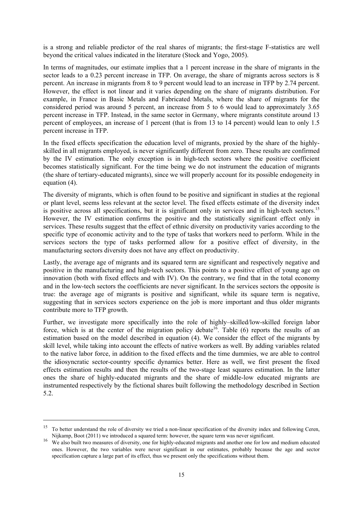is a strong and reliable predictor of the real shares of migrants; the first-stage F-statistics are well beyond the critical values indicated in the literature (Stock and Yogo, 2005).

In terms of magnitudes, our estimate implies that a 1 percent increase in the share of migrants in the sector leads to a 0.23 percent increase in TFP. On average, the share of migrants across sectors is 8 percent. An increase in migrants from 8 to 9 percent would lead to an increase in TFP by 2.74 percent. However, the effect is not linear and it varies depending on the share of migrants distribution. For example, in France in Basic Metals and Fabricated Metals, where the share of migrants for the considered period was around 5 percent, an increase from 5 to 6 would lead to approximately 3.65 percent increase in TFP. Instead, in the same sector in Germany, where migrants constitute around 13 percent of employees, an increase of 1 percent (that is from 13 to 14 percent) would lean to only 1.5 percent increase in TFP.

In the fixed effects specification the education level of migrants, proxied by the share of the highlyskilled in all migrants employed, is never significantly different from zero. These results are confirmed by the IV estimation. The only exception is in high-tech sectors where the positive coefficient becomes statistically significant. For the time being we do not instrument the education of migrants (the share of tertiary-educated migrants), since we will properly account for its possible endogeneity in equation (4).

The diversity of migrants, which is often found to be positive and significant in studies at the regional or plant level, seems less relevant at the sector level. The fixed effects estimate of the diversity index is positive across all specifications, but it is significant only in services and in high-tech sectors.<sup>15</sup> However, the IV estimation confirms the positive and the statistically significant effect only in services. These results suggest that the effect of ethnic diversity on productivity varies according to the specific type of economic activity and to the type of tasks that workers need to perform. While in the services sectors the type of tasks performed allow for a positive effect of diversity, in the manufacturing sectors diversity does not have any effect on productivity.

Lastly, the average age of migrants and its squared term are significant and respectively negative and positive in the manufacturing and high-tech sectors. This points to a positive effect of young age on innovation (both with fixed effects and with IV). On the contrary, we find that in the total economy and in the low-tech sectors the coefficients are never significant. In the services sectors the opposite is true: the average age of migrants is positive and significant, while its square term is negative, suggesting that in services sectors experience on the job is more important and thus older migrants contribute more to TFP growth.

Further, we investigate more specifically into the role of highly–skilled/low-skilled foreign labor force, which is at the center of the migration policy debate<sup>16</sup>. Table (6) reports the results of an estimation based on the model described in equation (4). We consider the effect of the migrants by skill level, while taking into account the effects of native workers as well. By adding variables related to the native labor force, in addition to the fixed effects and the time dummies, we are able to control the idiosyncratic sector-country specific dynamics better. Here as well, we first present the fixed effects estimation results and then the results of the two-stage least squares estimation. In the latter ones the share of highly-educated migrants and the share of middle-low educated migrants are instrumented respectively by the fictional shares built following the methodology described in Section 5.2.

-

<sup>&</sup>lt;sup>15</sup> To better understand the role of diversity we tried a non-linear specification of the diversity index and following Ceren,

Nijkamp, Boot (2011) we introduced a squared term: however, the square term was never significant. 16 We also built two measures of diversity, one for highly-educated migrants and another one for low and medium educated ones. However, the two variables were never significant in our estimates, probably because the age and sector specification capture a large part of its effect, thus we present only the specifications without them.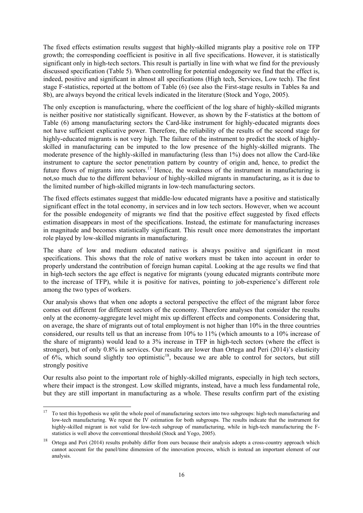The fixed effects estimation results suggest that highly-skilled migrants play a positive role on TFP growth; the corresponding coefficient is positive in all five specifications. However, it is statistically significant only in high-tech sectors. This result is partially in line with what we find for the previously discussed specification (Table 5). When controlling for potential endogeneity we find that the effect is, indeed, positive and significant in almost all specifications (High tech, Services, Low tech). The first stage F-statistics, reported at the bottom of Table (6) (see also the First-stage results in Tables 8a and 8b), are always beyond the critical levels indicated in the literature (Stock and Yogo, 2005).

The only exception is manufacturing, where the coefficient of the log share of highly-skilled migrants is neither positive nor statistically significant. However, as shown by the F-statistics at the bottom of Table (6) among manufacturing sectors the Card-like instrument for highly-educated migrants does not have sufficient explicative power. Therefore, the reliability of the results of the second stage for highly-educated migrants is not very high. The failure of the instrument to predict the stock of highlyskilled in manufacturing can be imputed to the low presence of the highly-skilled migrants. The moderate presence of the highly-skilled in manufacturing (less than 1%) does not allow the Card-like instrument to capture the sector penetration pattern by country of origin and, hence, to predict the future flows of migrants into sectors.<sup>17</sup> Hence, the weakness of the instrument in manufacturing is not,so much due to the different behaviour of highly-skilled migrants in manufacturing, as it is due to the limited number of high-skilled migrants in low-tech manufacturing sectors.

The fixed effects estimates suggest that middle-low educated migrants have a positive and statistically significant effect in the total economy, in services and in low tech sectors. However, when we account for the possible endogeneity of migrants we find that the positive effect suggested by fixed effects estimation disappears in most of the specifications. Instead, the estimate for manufacturing increases in magnitude and becomes statistically significant. This result once more demonstrates the important role played by low-skilled migrants in manufacturing.

The share of low and medium educated natives is always positive and significant in most specifications. This shows that the role of native workers must be taken into account in order to properly understand the contribution of foreign human capital. Looking at the age results we find that in high-tech sectors the age effect is negative for migrants (young educated migrants contribute more to the increase of TFP), while it is positive for natives, pointing to job-experience's different role among the two types of workers.

Our analysis shows that when one adopts a sectoral perspective the effect of the migrant labor force comes out different for different sectors of the economy. Therefore analyses that consider the results only at the economy-aggregate level might mix up different effects and components. Considering that, on average, the share of migrants out of total employment is not higher than 10% in the three countries considered, our results tell us that an increase from 10% to 11% (which amounts to a 10% increase of the share of migrants) would lead to a 3% increase in TFP in high-tech sectors (where the effect is stronger), but of only 0.8% in services. Our results are lower than Ortega and Peri (2014)'s elasticity of  $6\%$ , which sound slightly too optimistic<sup>18</sup>, because we are able to control for sectors, but still strongly positive

Our results also point to the important role of highly-skilled migrants, especially in high tech sectors, where their impact is the strongest. Low skilled migrants, instead, have a much less fundamental role, but they are still important in manufacturing as a whole. These results confirm part of the existing

 $17$ <sup>17</sup> To test this hypothesis we split the whole pool of manufacturing sectors into two subgroups: high-tech manufacturing and low-tech manufacturing. We repeat the IV estimation for both subgroups. The results indicate that the instrument for highly-skilled migrant is not valid for low-tech subgroup of manufacturing, while in high-tech manufacturing the Fstatistics is well above the conventional threshold (Stock and Yogo, 2005).

<sup>&</sup>lt;sup>18</sup> Ortega and Peri (2014) results probably differ from ours because their analysis adopts a cross-country approach which cannot account for the panel/time dimension of the innovation process, which is instead an important element of our analysis.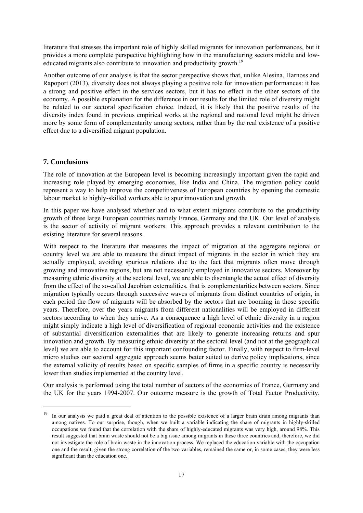literature that stresses the important role of highly skilled migrants for innovation performances, but it provides a more complete perspective highlighting how in the manufacturing sectors middle and loweducated migrants also contribute to innovation and productivity growth.<sup>19</sup>

Another outcome of our analysis is that the sector perspective shows that, unlike Alesina, Harnoss and Rapoport (2013), diversity does not always playing a positive role for innovation performances: it has a strong and positive effect in the services sectors, but it has no effect in the other sectors of the economy. A possible explanation for the difference in our results for the limited role of diversity might be related to our sectoral specification choice. Indeed, it is likely that the positive results of the diversity index found in previous empirical works at the regional and national level might be driven more by some form of complementarity among sectors, rather than by the real existence of a positive effect due to a diversified migrant population.

#### **7. Conclusions**

1

The role of innovation at the European level is becoming increasingly important given the rapid and increasing role played by emerging economies, like India and China. The migration policy could represent a way to help improve the competitiveness of European countries by opening the domestic labour market to highly-skilled workers able to spur innovation and growth.

In this paper we have analysed whether and to what extent migrants contribute to the productivity growth of three large European countries namely France, Germany and the UK. Our level of analysis is the sector of activity of migrant workers. This approach provides a relevant contribution to the existing literature for several reasons.

With respect to the literature that measures the impact of migration at the aggregate regional or country level we are able to measure the direct impact of migrants in the sector in which they are actually employed, avoiding spurious relations due to the fact that migrants often move through growing and innovative regions, but are not necessarily employed in innovative sectors. Moreover by measuring ethnic diversity at the sectoral level, we are able to disentangle the actual effect of diversity from the effect of the so-called Jacobian externalities, that is complementarities between sectors. Since migration typically occurs through successive waves of migrants from distinct countries of origin, in each period the flow of migrants will be absorbed by the sectors that are booming in those specific years. Therefore, over the years migrants from different nationalities will be employed in different sectors according to when they arrive. As a consequence a high level of ethnic diversity in a region might simply indicate a high level of diversification of regional economic activities and the existence of substantial diversification externalities that are likely to generate increasing returns and spur innovation and growth. By measuring ethnic diversity at the sectoral level (and not at the geographical level) we are able to account for this important confounding factor. Finally, with respect to firm-level micro studies our sectoral aggregate approach seems better suited to derive policy implications, since the external validity of results based on specific samples of firms in a specific country is necessarily lower than studies implemented at the country level.

Our analysis is performed using the total number of sectors of the economies of France, Germany and the UK for the years 1994-2007. Our outcome measure is the growth of Total Factor Productivity,

<sup>&</sup>lt;sup>19</sup> In our analysis we paid a great deal of attention to the possible existence of a larger brain drain among migrants than among natives. To our surprise, though, when we built a variable indicating the share of migrants in highly-skilled occupations we found that the correlation with the share of highly-educated migrants was very high, around 98%. This result suggested that brain waste should not be a big issue among migrants in these three countries and, therefore, we did not investigate the role of brain waste in the innovation process. We replaced the education variable with the occupation one and the result, given the strong correlation of the two variables, remained the same or, in some cases, they were less significant than the education one.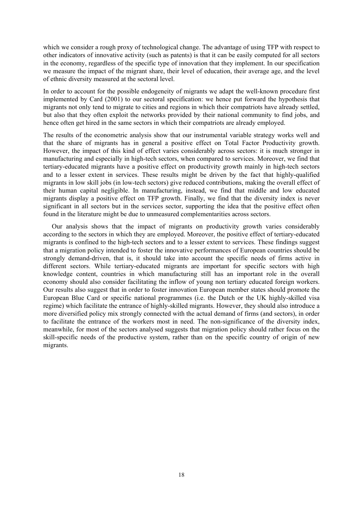which we consider a rough proxy of technological change. The advantage of using TFP with respect to other indicators of innovative activity (such as patents) is that it can be easily computed for all sectors in the economy, regardless of the specific type of innovation that they implement. In our specification we measure the impact of the migrant share, their level of education, their average age, and the level of ethnic diversity measured at the sectoral level.

In order to account for the possible endogeneity of migrants we adapt the well-known procedure first implemented by Card (2001) to our sectoral specification: we hence put forward the hypothesis that migrants not only tend to migrate to cities and regions in which their compatriots have already settled, but also that they often exploit the networks provided by their national community to find jobs, and hence often get hired in the same sectors in which their compatriots are already employed.

The results of the econometric analysis show that our instrumental variable strategy works well and that the share of migrants has in general a positive effect on Total Factor Productivity growth. However, the impact of this kind of effect varies considerably across sectors: it is much stronger in manufacturing and especially in high-tech sectors, when compared to services. Moreover, we find that tertiary-educated migrants have a positive effect on productivity growth mainly in high-tech sectors and to a lesser extent in services. These results might be driven by the fact that highly-qualified migrants in low skill jobs (in low-tech sectors) give reduced contributions, making the overall effect of their human capital negligible. In manufacturing, instead, we find that middle and low educated migrants display a positive effect on TFP growth. Finally, we find that the diversity index is never significant in all sectors but in the services sector, supporting the idea that the positive effect often found in the literature might be due to unmeasured complementarities across sectors.

Our analysis shows that the impact of migrants on productivity growth varies considerably according to the sectors in which they are employed. Moreover, the positive effect of tertiary-educated migrants is confined to the high-tech sectors and to a lesser extent to services. These findings suggest that a migration policy intended to foster the innovative performances of European countries should be strongly demand-driven, that is, it should take into account the specific needs of firms active in different sectors. While tertiary-educated migrants are important for specific sectors with high knowledge content, countries in which manufacturing still has an important role in the overall economy should also consider facilitating the inflow of young non tertiary educated foreign workers. Our results also suggest that in order to foster innovation European member states should promote the European Blue Card or specific national programmes (i.e. the Dutch or the UK highly-skilled visa regime) which facilitate the entrance of highly-skilled migrants. However, they should also introduce a more diversified policy mix strongly connected with the actual demand of firms (and sectors), in order to facilitate the entrance of the workers most in need. The non-significance of the diversity index, meanwhile, for most of the sectors analysed suggests that migration policy should rather focus on the skill-specific needs of the productive system, rather than on the specific country of origin of new migrants.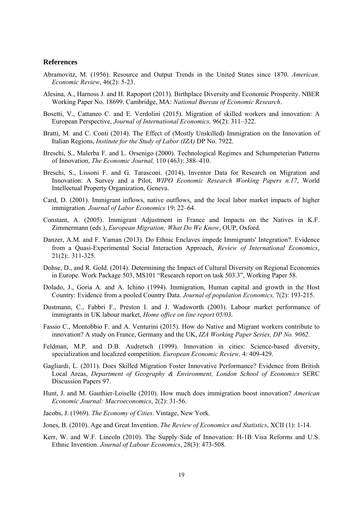#### **References**

- Abramovitz, M. (1956). Resource and Output Trends in the United States since 1870. *American. Economic Review*, 46(2): 5-23.
- Alesina, A., Harnoss J. and H. Rapoport (2013). Birthplace Diversity and Economic Prosperity. NBER Working Paper No. 18699. Cambridge, MA: *National Bureau of Economic Research*.
- Bosetti, V., Cattaneo C. and E. Verdolini (2015). Migration of skilled workers and innovation: A European Perspective, *Journal of International Economics,* 96(2): 311–322.
- Bratti, M. and C. Conti (2014). The Effect of (Mostly Unskilled) Immigration on the Innovation of Italian Regions, *Institute for the Study of Labor (IZA)* DP No. 7922.
- Breschi, S., Malerba F. and L. Orsenigo (2000). Technological Regimes and Schumpeterian Patterns of Innovation, *The Economic Journal,* 110 (463): 388–410.
- Breschi, S., Lissoni F. and G. Tarasconi. (2014), Inventor Data for Research on Migration and Innovation: A Survey and a Pilot, *WIPO Economic Research Working Papers n.17*, World Intellectual Property Organization, Geneva.
- Card, D. (2001). Immigrant inflows, native outflows, and the local labor market impacts of higher immigration. *Journal of Labor Economics* 19: 22–64.
- Constant, A. (2005). Immigrant Adjustment in France and Impacts on the Natives in K.F. Zimmermann (eds.), *European Migration: What Do We Know*, OUP, Oxford.
- Danzer, A.M. and F. Yaman (2013). Do Ethnic Enclaves impede Immigrants' Integration?. Evidence from a Quasi-Experimental Social Interaction Approach, *Review of International Economics*, 21(2):. 311-325.
- Dohse, D., and R. Gold. (2014). Determining the Impact of Cultural Diversity on Regional Economies in Europe. Work Package 503, MS101 "Research report on task 503.3", Working Paper 58.
- Dolado, J., Goria A. and A. Ichino (1994). Immigration, Human capital and growth in the Host Country: Evidence from a pooled Country Data. *Journal of population Economics,* 7(2): 193-215.
- Dustmann, C., Fabbri F., Preston I. and J. Wadsworth (2003). Labour market performance of immigrants in UK labour market, *Home office on line report 05/03*.
- Fassio C., Montobbio F. and A. Venturini (2015). How do Native and Migrant workers contribute to innovation? A study on France, Germany and the UK, *IZA Working Paper Series, DP No. 9062*.
- Feldman, M.P. and D.B. Audretsch (1999). Innovation in cities: Science-based diversity, specialization and localized competition. *European Economic Review,* 4: 409-429.
- Gagliardi, L. (2011). Does Skilled Migration Foster Innovative Performance? Evidence from British Local Areas, *Department of Geography & Environment, London School of Economics* SERC Discussion Papers 97.
- Hunt, J. and M. Gauthier-Loiselle (2010). How much does immigration boost innovation? *American Economic Journal: Macroeconomics*, 2(2): 31-56.
- Jacobs, J. (1969). *The Economy of Cities*. Vintage, New York.
- Jones, B. (2010). Age and Great Invention. *The Review of Economics and Statistics*, XCII (1): 1-14.
- Kerr, W. and W.F. Lincoln (2010). The Supply Side of Innovation: H-1B Visa Reforms and U.S. Ethnic Invention. *Journal of Labour Economics*, 28(3): 473-508.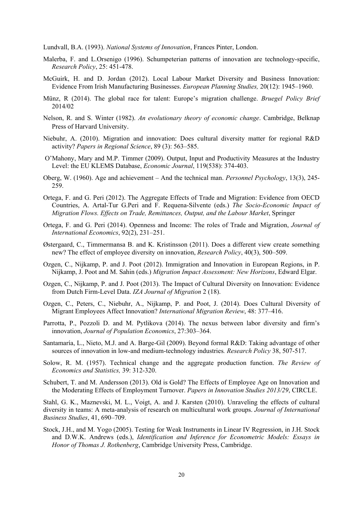Lundvall, B.A. (1993). *National Systems of Innovation*, Frances Pinter, London.

- Malerba, F. and L.Orsenigo (1996). Schumpeterian patterns of innovation are technology-specific, *Research Policy*, 25: 451-478.
- McGuirk, H. and D. Jordan (2012). Local Labour Market Diversity and Business Innovation: Evidence From Irish Manufacturing Businesses. *European Planning Studies,* 20(12): 1945–1960.
- Münz, R (2014). The global race for talent: Europe's migration challenge. *Bruegel Policy Brief* 2014/02
- Nelson, R. and S. Winter (1982). *An evolutionary theory of economic change*. Cambridge, Belknap Press of Harvard University.
- Niebuhr, A. (2010). Migration and innovation: Does cultural diversity matter for regional R&D activity? *Papers in Regional Science*, 89 (3): 563–585.
- O'Mahony, Mary and M.P. Timmer (2009). Output, Input and Productivity Measures at the Industry Level: the EU KLEMS Database, *Economic Journal*, 119(538): 374-403.
- Oberg, W. (1960). Age and achievement And the technical man. *Personnel Psychology*, 13(3), 245- 259.
- Ortega, F. and G. Peri (2012). The Aggregate Effects of Trade and Migration: Evidence from OECD Countries, A. Artal-Tur G.Peri and F. Requena-Silvente (eds.) *The Socio-Economic Impact of Migration Flows. Effects on Trade, Remittances, Output, and the Labour Market*, Springer
- Ortega, F. and G. Peri (2014). Openness and Income: The roles of Trade and Migration, *Journal of International Economics*, 92(2), 231–251.
- Østergaard, C., Timmermansa B. and K. Kristinsson (2011). Does a different view create something new? The effect of employee diversity on innovation, *Research Policy*, 40(3), 500–509.
- Ozgen, C., Nijkamp, P. and J. Poot (2012). Immigration and Innovation in European Regions, in P. Nijkamp, J. Poot and M. Sahin (eds.) *Migration Impact Assessment: New Horizons*, Edward Elgar.
- Ozgen, C., Nijkamp, P. and J. Poot (2013). The Impact of Cultural Diversity on Innovation: Evidence from Dutch Firm-Level Data. *IZA Journal of Migration* 2 (18).
- Ozgen, C., Peters, C., Niebuhr, A., Nijkamp, P. and Poot, J. (2014). Does Cultural Diversity of Migrant Employees Affect Innovation? *International Migration Review*, 48: 377–416.
- Parrotta, P., Pozzoli D. and M. Pytlikova (2014). The nexus between labor diversity and firm's innovation, *Journal of Population Economics*, 27:303–364.
- Santamaría, L., Nieto, M.J. and A. Barge-Gil (2009). Beyond formal R&D: Taking advantage of other sources of innovation in low-and medium-technology industries*. Research Policy* 38, 507-517.
- Solow, R. M. (1957). Technical change and the aggregate production function. *The Review of Economics and Statistics,* 39: 312-320.
- Schubert, T. and M. Andersson (2013). Old is Gold? The Effects of Employee Age on Innovation and the Moderating Effects of Employment Turnover. *Papers in Innovation Studies 2013/29*, CIRCLE.

Stahl, G. K., Maznevski, M. L., Voigt, A. and J. Karsten (2010). Unraveling the effects of cultural diversity in teams: A meta-analysis of research on multicultural work groups. *Journal of International Business Studies*, 41, 690–709.

Stock, J.H., and M. Yogo (2005). Testing for Weak Instruments in Linear IV Regression, in J.H. Stock and D.W.K. Andrews (eds.), *Identification and Inference for Econometric Models: Essays in Honor of Thomas J. Rothenberg*, Cambridge University Press, Cambridge.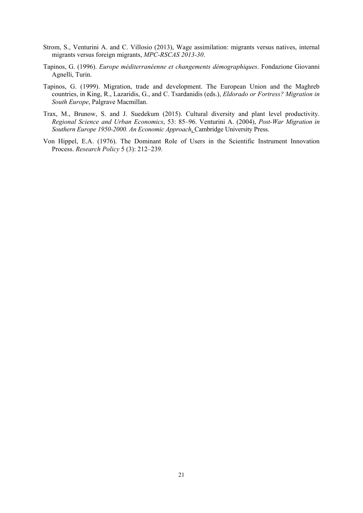- Strom, S., Venturini A. and C. Villosio (2013), Wage assimilation: migrants versus natives, internal migrants versus foreign migrants, *MPC-RSCAS 2013-30*.
- Tapinos, G. (1996). *Europe méditerranéenne et changements démographiques*. Fondazione Giovanni Agnelli, Turin.
- Tapinos, G. (1999). Migration, trade and development. The European Union and the Maghreb countries, in King, R., Lazaridis, G., and C. Tsardanidis (eds.), *Eldorado or Fortress? Migration in South Europe*, Palgrave Macmillan.
- Trax, M., Brunow, S. and J. Suedekum (2015). Cultural diversity and plant level productivity. *Regional Science and Urban Economics*, 53: 85–96. Venturini A. (2004), *Post-War Migration in Southern Europe 1950-2000. An Economic Approach*, Cambridge University Press.
- Von Hippel, E.A. (1976). The Dominant Role of Users in the Scientific Instrument Innovation Process. *Research Policy* 5 (3): 212–239.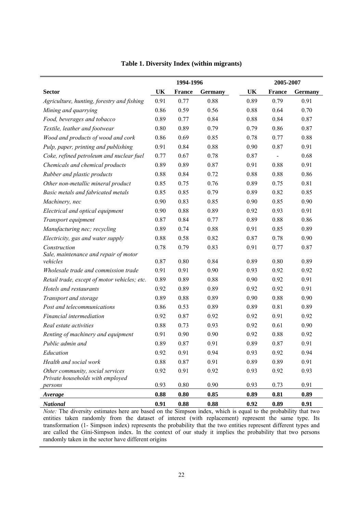|                                                                      |      | 1994-1996           |         |      | 2005-2007     |                |
|----------------------------------------------------------------------|------|---------------------|---------|------|---------------|----------------|
| <b>Sector</b>                                                        | UK   | <b>France</b>       | Germany | UK   | <b>France</b> | <b>Germany</b> |
| Agriculture, hunting, forestry and fishing                           | 0.91 | 0.77                | 0.88    | 0.89 | 0.79          | 0.91           |
| Mining and quarrying                                                 | 0.86 | 0.59                | 0.56    | 0.88 | 0.64          | 0.70           |
| Food, beverages and tobacco                                          | 0.89 | 0.77                | 0.84    | 0.88 | 0.84          | 0.87           |
| Textile, leather and footwear                                        | 0.80 | 0.89                | 0.79    | 0.79 | 0.86          | 0.87           |
| Wood and products of wood and cork                                   | 0.86 | 0.69                | 0.85    | 0.78 | 0.77          | 0.88           |
| Pulp, paper, printing and publishing                                 | 0.91 | 0.84                | 0.88    | 0.90 | 0.87          | 0.91           |
| Coke, refined petroleum and nuclear fuel                             | 0.77 | 0.67                | 0.78    | 0.87 |               | 0.68           |
| Chemicals and chemical products                                      | 0.89 | 0.89                | 0.87    | 0.91 | 0.88          | 0.91           |
| Rubber and plastic products                                          | 0.88 | 0.84                | 0.72    | 0.88 | 0.88          | 0.86           |
| Other non-metallic mineral product                                   | 0.85 | 0.75                | 0.76    | 0.89 | 0.75          | 0.81           |
| Basic metals and fabricated metals                                   | 0.85 | 0.85                | 0.79    | 0.89 | 0.82          | 0.85           |
| Machinery, nec                                                       | 0.90 | 0.83                | 0.85    | 0.90 | 0.85          | 0.90           |
| Electrical and optical equipment                                     | 0.90 | 0.88                | 0.89    | 0.92 | 0.93          | 0.91           |
| Transport equipment                                                  | 0.87 | 0.84                | 0.77    | 0.89 | 0.88          | 0.86           |
| Manufacturing nec; recycling                                         | 0.89 | 0.74                | 0.88    | 0.91 | 0.85          | 0.89           |
| Electricity, gas and water supply                                    | 0.88 | 0.58                | 0.82    | 0.87 | 0.78          | 0.90           |
| Construction                                                         | 0.78 | 0.79                | 0.83    | 0.91 | 0.77          | 0.87           |
| Sale, maintenance and repair of motor                                |      |                     |         |      |               |                |
| vehicles                                                             | 0.87 | 0.80                | 0.84    | 0.89 | 0.80          | 0.89           |
| Wholesale trade and commission trade                                 | 0.91 | 0.91                | 0.90    | 0.93 | 0.92          | 0.92           |
| Retail trade, except of motor vehicles; etc.                         | 0.89 | 0.89                | 0.88    | 0.90 | 0.92          | 0.91           |
| Hotels and restaurants                                               | 0.92 | 0.89                | 0.89    | 0.92 | 0.92          | 0.91           |
| Transport and storage                                                | 0.89 | 0.88                | 0.89    | 0.90 | 0.88          | 0.90           |
| Post and telecommunications                                          | 0.86 | 0.53                | 0.89    | 0.89 | 0.81          | 0.89           |
| Financial intermediation                                             | 0.92 | 0.87                | 0.92    | 0.92 | 0.91          | 0.92           |
| Real estate activities                                               | 0.88 | 0.73                | 0.93    | 0.92 | 0.61          | 0.90           |
| Renting of machinery and equipment                                   | 0.91 | 0.90                | 0.90    | 0.92 | 0.88          | 0.92           |
| Public admin and                                                     | 0.89 | 0.87                | 0.91    | 0.89 | 0.87          | 0.91           |
| Education                                                            | 0.92 | 0.91                | 0.94    | 0.93 | 0.92          | 0.94           |
| Health and social work                                               | 0.88 | 0.87                | 0.91    | 0.89 | 0.89          | 0.91           |
| Other community, social services<br>Private households with employed | 0.92 | 0.91                | 0.92    | 0.93 | 0.92          | 0.93           |
| persons                                                              | 0.93 | 0.80                | 0.90    | 0.93 | 0.73          | 0.91           |
| Average                                                              | 0.88 | $\boldsymbol{0.80}$ | 0.85    | 0.89 | 0.81          | 0.89           |
| <b>National</b>                                                      | 0.91 | $\boldsymbol{0.88}$ | 0.88    | 0.92 | 0.89          | 0.91           |

#### **Table 1. Diversity Index (within migrants)**

*Note:* The diversity estimates here are based on the Simpson index, which is equal to the probability that two entities taken randomly from the dataset of interest (with replacement) represent the same type. Its transformation (1- Simpson index) represents the probability that the two entities represent different types and are called the Gini-Simpson index. In the context of our study it implies the probability that two persons randomly taken in the sector have different origins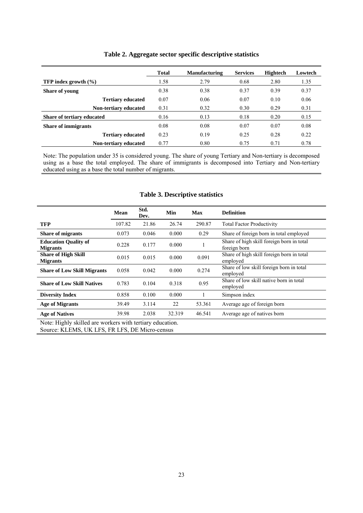|                                 | <b>Total</b> | <b>Manufacturing</b> | <b>Services</b> | <b>Hightech</b> | Lowtech |
|---------------------------------|--------------|----------------------|-----------------|-----------------|---------|
| <b>TFP</b> index growth $(\% )$ | 1.58         | 2.79                 | 0.68            | 2.80            | 1.35    |
| <b>Share of young</b>           | 0.38         | 0.38                 | 0.37            | 0.39            | 0.37    |
| <b>Tertiary educated</b>        | 0.07         | 0.06                 | 0.07            | 0.10            | 0.06    |
| Non-tertiary educated           | 0.31         | 0.32                 | 0.30            | 0.29            | 0.31    |
| Share of tertiary educated      | 0.16         | 0.13                 | 0.18            | 0.20            | 0.15    |
| <b>Share of immigrants</b>      | 0.08         | 0.08                 | 0.07            | 0.07            | 0.08    |
| <b>Tertiary educated</b>        | 0.23         | 0.19                 | 0.25            | 0.28            | 0.22    |
| <b>Non-tertiary educated</b>    | 0.77         | 0.80                 | 0.75            | 0.71            | 0.78    |

#### **Table 2. Aggregate sector specific descriptive statistics**

Note: The population under 35 is considered young. The share of young Tertiary and Non-tertiary is decomposed using as a base the total employed. The share of immigrants is decomposed into Tertiary and Non-tertiary educated using as a base the total number of migrants.

#### **Table 3. Descriptive statistics**

|                                                | <b>Mean</b> | Std.<br>Dev. | Min    | Max    | <b>Definition</b>                                         |
|------------------------------------------------|-------------|--------------|--------|--------|-----------------------------------------------------------|
| <b>TFP</b>                                     | 107.82      | 21.86        | 26.74  | 290.87 | <b>Total Factor Productivity</b>                          |
| <b>Share of migrants</b>                       | 0.073       | 0.046        | 0.000  | 0.29   | Share of foreign born in total employed                   |
| <b>Education Quality of</b><br><b>Migrants</b> | 0.228       | 0.177        | 0.000  |        | Share of high skill foreign born in total<br>foreign born |
| <b>Share of High Skill</b><br><b>Migrants</b>  | 0.015       | 0.015        | 0.000  | 0.091  | Share of high skill foreign born in total<br>employed     |
| <b>Share of Low Skill Migrants</b>             | 0.058       | 0.042        | 0.000  | 0.274  | Share of low skill foreign born in total<br>employed      |
| <b>Share of Low Skill Natives</b>              | 0.783       | 0.104        | 0.318  | 0.95   | Share of low skill native born in total<br>employed       |
| <b>Diversity Index</b>                         | 0.858       | 0.100        | 0.000  |        | Simpson index                                             |
| <b>Age of Migrants</b>                         | 39.49       | 3.114        | 22     | 53.361 | Average age of foreign born                               |
| <b>Age of Natives</b>                          | 39.98       | 2.038        | 32.319 | 46.541 | Average age of natives born                               |

Note: Highly skilled are workers with tertiary education. Source: KLEMS, UK LFS, FR LFS, DE Micro-census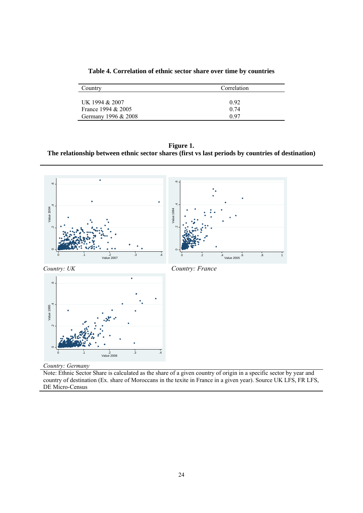| Country             | Correlation |
|---------------------|-------------|
|                     |             |
| UK 1994 & 2007      | 0.92        |
| France 1994 & 2005  | 0.74        |
| Germany 1996 & 2008 | 0.97        |

**Table 4. Correlation of ethnic sector share over time by countries** 

**Figure 1. The relationship between ethnic sector shares (first vs last periods by countries of destination)** 



*Country: Germany* 

Note: Ethnic Sector Share is calculated as the share of a given country of origin in a specific sector by year and country of destination (Ex. share of Moroccans in the texite in France in a given year). Source UK LFS, FR LFS, DE Micro-Census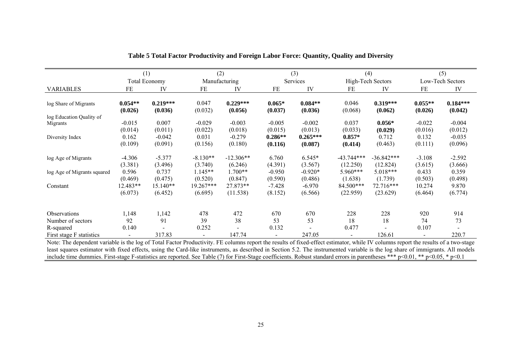|                             | (1)                  |                       | (2)              |                       |                     | (3)                  |                  | (4)                   |                      | (5)                   |
|-----------------------------|----------------------|-----------------------|------------------|-----------------------|---------------------|----------------------|------------------|-----------------------|----------------------|-----------------------|
|                             |                      | <b>Total Economy</b>  | Manufacturing    |                       |                     | Services             |                  | High-Tech Sectors     |                      | Low-Tech Sectors      |
| <b>VARIABLES</b>            | FE                   | IV                    | FE               | IV                    | FE                  | IV                   | FE               | IV                    | FE                   | IV                    |
| log Share of Migrants       | $0.054**$<br>(0.026) | $0.219***$<br>(0.036) | 0.047<br>(0.032) | $0.229***$<br>(0.056) | $0.065*$<br>(0.037) | $0.084**$<br>(0.036) | 0.046<br>(0.068) | $0.319***$<br>(0.062) | $0.055**$<br>(0.026) | $0.184***$<br>(0.042) |
| log Education Quality of    |                      |                       |                  |                       |                     |                      |                  |                       |                      |                       |
| Migrants                    | $-0.015$             | 0.007                 | $-0.029$         | $-0.003$              | $-0.005$            | $-0.002$             | 0.037            | $0.056*$              | $-0.022$             | $-0.004$              |
|                             | (0.014)              | (0.011)               | (0.022)          | (0.018)               | (0.015)             | (0.013)              | (0.033)          | (0.029)               | (0.016)              | (0.012)               |
| Diversity Index             | 0.162                | $-0.042$              | 0.031            | $-0.279$              | $0.286**$           | $0.265***$           | $0.857*$         | 0.712                 | 0.132                | $-0.035$              |
|                             | (0.109)              | (0.091)               | (0.156)          | (0.180)               | (0.116)             | (0.087)              | (0.414)          | (0.463)               | (0.111)              | (0.096)               |
| log Age of Migrants         | $-4.306$             | $-5.377$              | $-8.130**$       | $-12.306**$           | 6.760               | 6.545*               | $-43.744***$     | $-36.842***$          | $-3.108$             | $-2.592$              |
|                             | (3.381)              | (3.496)               | (3.740)          | (6.246)               | (4.391)             | (3.567)              | (12.250)         | (12.824)              | (3.615)              | (3.666)               |
| log Age of Migrants squared | 0.596                | 0.737                 | 1.145**          | 1.700**               | $-0.950$            | $-0.920*$            | $5.960***$       | 5.018***              | 0.433                | 0.359                 |
|                             | (0.469)              | (0.475)               | (0.520)          | (0.847)               | (0.590)             | (0.486)              | (1.638)          | (1.739)               | (0.503)              | (0.498)               |
| Constant                    | 12.483**             | 15.140**              | 19.267***        | 27.873**              | $-7.428$            | $-6.970$             | 84.500***        | 72.716***             | 10.274               | 9.870                 |
|                             | (6.073)              | (6.452)               | (6.695)          | (11.538)              | (8.152)             | (6.566)              | (22.959)         | (23.629)              | (6.464)              | (6.774)               |
|                             |                      |                       |                  |                       |                     |                      |                  |                       |                      |                       |
| Observations                | 1,148                | 1,142                 | 478              | 472                   | 670                 | 670                  | 228              | 228                   | 920                  | 914                   |
| Number of sectors           | 92                   | 91                    | 39               | 38                    | 53                  | 53                   | 18               | 18                    | 74                   | 73                    |
| R-squared                   | 0.140                |                       | 0.252            |                       | 0.132               |                      | 0.477            |                       | 0.107                |                       |
| First stage F statistics    |                      | 317.83                |                  | 147.74                |                     | 247.05               |                  | 126.61                |                      | 220.7                 |

| Table 5 Total Factor Productivity and Foreign Labor Force: Quantity, Quality and Diversity |  |
|--------------------------------------------------------------------------------------------|--|
|                                                                                            |  |

Note: The dependent variable is the log of Total Factor Productivity. FE columns report the results of fixed-effect estimator, while IV columns report the results of a two-stage least squares estimator with fixed effects, using the Card-like instruments, as described in Section 5.2. The instrumented variable is the log share of immigrants. All models include time dummies. First-stage F-statistics are reported. See Table (7) for First-Stage coefficients. Robust standard errors in parentheses \*\*\* p<0.01, \*\* p<0.05, \* p<0.1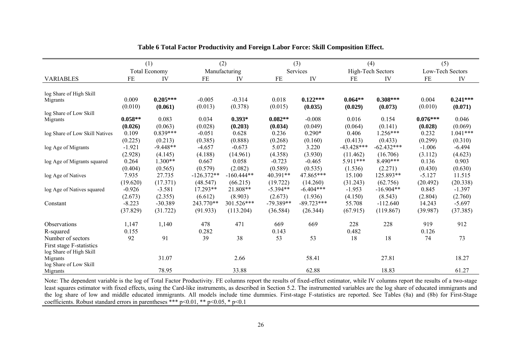|                                |           | (1)                  |              | (2)           |             | (3)          |              | (4)               |            | (5)              |
|--------------------------------|-----------|----------------------|--------------|---------------|-------------|--------------|--------------|-------------------|------------|------------------|
|                                |           | <b>Total Economy</b> |              | Manufacturing |             | Services     |              | High-Tech Sectors |            | Low-Tech Sectors |
| <b>VARIABLES</b>               | $\rm FE$  | IV                   | $FE$         | IV            | FE          | IV           | FE           | IV                | $\rm FE$   | IV               |
| log Share of High Skill        |           |                      |              |               |             |              |              |                   |            |                  |
| Migrants                       | 0.009     | $0.205***$           | $-0.005$     | $-0.314$      | 0.018       | $0.122***$   | $0.064**$    | $0.308***$        | 0.004      | $0.241***$       |
|                                | (0.010)   | (0.061)              | (0.013)      | (0.378)       | (0.015)     | (0.035)      | (0.029)      | (0.073)           | (0.010)    | (0.071)          |
| log Share of Low Skill         |           |                      |              |               |             |              |              |                   |            |                  |
| Migrants                       | $0.058**$ | 0.083                | 0.034        | $0.393*$      | $0.082**$   | $-0.008$     | 0.016        | 0.154             | $0.076***$ | 0.046            |
|                                | (0.026)   | (0.063)              | (0.028)      | (0.203)       | (0.034)     | (0.049)      | (0.064)      | (0.141)           | (0.028)    | (0.069)          |
| log Share of Low Skill Natives | 0.109     | $0.839***$           | $-0.051$     | 0.628         | 0.236       | $0.290*$     | 0.406        | $1.256***$        | 0.232      | $1.041***$       |
|                                | (0.225)   | (0.213)              | (0.385)      | (0.888)       | (0.268)     | (0.160)      | (0.413)      | (0.433)           | (0.299)    | (0.310)          |
| log Age of Migrants            | $-1.921$  | $-9.448**$           | $-4.657$     | $-0.673$      | 5.072       | 3.220        | $-43.428***$ | $-62.432***$      | $-1.006$   | $-6.494$         |
|                                | (2.928)   | (4.145)              | (4.188)      | (14.961)      | (4.358)     | (3.930)      | (11.462)     | (16.706)          | (3.112)    | (4.623)          |
| log Age of Migrants squared    | 0.264     | $1.300**$            | 0.667        | 0.058         | $-0.723$    | $-0.465$     | 5.911***     | $8.490***$        | 0.136      | 0.903            |
|                                | (0.404)   | (0.565)              | (0.579)      | (2.082)       | (0.589)     | (0.535)      | (1.536)      | (2.271)           | (0.430)    | (0.630)          |
| log Age of Natives             | 7.935     | 27.735               | $-126.372**$ | $-160.444**$  | 40.391**    | 47.865***    | 15.100       | 125.893**         | $-5.127$   | 11.515           |
|                                | (19.620)  | (17.371)             | (48.547)     | (66.215)      | (19.722)    | (14.260)     | (31.243)     | (62.756)          | (20.492)   | (20.338)         |
| log Age of Natives squared     | $-0.926$  | $-3.581$             | 17.293**     | 21.808**      | $-5.394**$  | $-6.404***$  | $-1.953$     | $-16.904**$       | 0.845      | $-1.397$         |
|                                | (2.673)   | (2.355)              | (6.612)      | (8.903)       | (2.673)     | (1.936)      | (4.150)      | (8.543)           | (2.804)    | (2.760)          |
| Constant                       | $-8.223$  | $-30.389$            | 243.770**    | 301.526***    | $-79.389**$ | $-89.723***$ | 55.708       | $-112.640$        | 14.243     | $-5.697$         |
|                                | (37.829)  | (31.722)             | (91.933)     | (113.204)     | (36.584)    | (26.344)     | (67.915)     | (119.867)         | (39.987)   | (37.385)         |
| Observations                   | 1,147     | 1,140                | 478          | 471           | 669         | 669          | 228          | 228               | 919        | 912              |
| R-squared                      | 0.155     |                      | 0.282        |               | 0.143       |              | 0.482        |                   | 0.126      |                  |
| Number of sectors              | 92        | 91                   | 39           | 38            | 53          | 53           | 18           | 18                | 74         | 73               |
| First stage F-statistics       |           |                      |              |               |             |              |              |                   |            |                  |
| log Share of High Skill        |           |                      |              |               |             |              |              |                   |            |                  |
| Migrants                       |           | 31.07                |              | 2.66          |             | 58.41        |              | 27.81             |            | 18.27            |
| log Share of Low Skill         |           |                      |              |               |             |              |              |                   |            |                  |
| Migrants                       |           | 78.95                |              | 33.88         |             | 62.88        |              | 18.83             |            | 61.27            |

**Table 6 Total Factor Productivity and Foreign Labor Force: Skill Composition Effect.** 

Note: The dependent variable is the log of Total Factor Productivity. FE columns report the results of fixed-effect estimator, while IV columns report the results of a two-stage least squares estimator with fixed effects, using the Card-like instruments, as described in Section 5.2. The instrumented variables are the log share of educated immigrants and the log share of low and middle educated immigrants. All models include time dummies. First-stage F-statistics are reported. See Tables (8a) and (8b) for First-Stage coefficients. Robust standard errors in parentheses \*\*\* p<0.01, \*\* p<0.05, \* p<0.1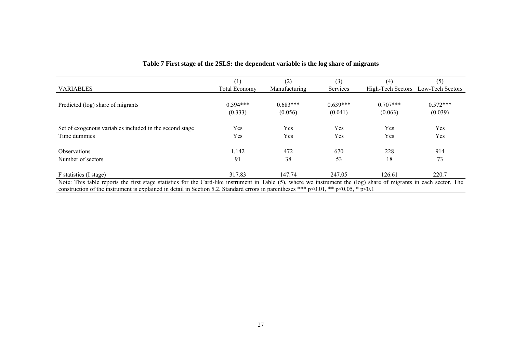|                                                                                                                                                                    | (1)                  | (2)           | (3)        | (4)               | (5)              |
|--------------------------------------------------------------------------------------------------------------------------------------------------------------------|----------------------|---------------|------------|-------------------|------------------|
| <b>VARIABLES</b>                                                                                                                                                   | <b>Total Economy</b> | Manufacturing | Services   | High-Tech Sectors | Low-Tech Sectors |
|                                                                                                                                                                    |                      |               |            |                   |                  |
| Predicted (log) share of migrants                                                                                                                                  | $0.594***$           | $0.683***$    | $0.639***$ | $0.707***$        | $0.572***$       |
|                                                                                                                                                                    | (0.333)              | (0.056)       | (0.041)    | (0.063)           | (0.039)          |
|                                                                                                                                                                    |                      |               |            |                   |                  |
| Set of exogenous variables included in the second stage                                                                                                            | Yes                  | Yes           | Yes        | Yes               | Yes              |
| Time dummies                                                                                                                                                       | Yes                  | Yes           | Yes        | Yes               | Yes              |
| <b>Observations</b>                                                                                                                                                | 1,142                | 472           | 670        | 228               | 914              |
| Number of sectors                                                                                                                                                  | 91                   | 38            | 53         | 18                | 73               |
|                                                                                                                                                                    |                      | 147.74        |            |                   |                  |
| F statistics (I stage)                                                                                                                                             | 317.83               |               | 247.05     | 126.61            | 220.7            |
| Note: This table reports the first stage statistics for the Card-like instrument in Table (5), where we instrument the (log) share of migrants in each sector. The |                      |               |            |                   |                  |
| construction of the instrument is explained in detail in Section 5.2. Standard errors in parentheses *** $p<0.01$ , ** $p<0.05$ , * $p<0.1$                        |                      |               |            |                   |                  |

### **Table 7 First stage of the 2SLS: the dependent variable is the log share of migrants**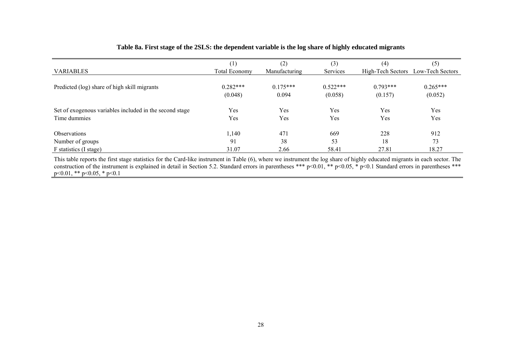#### **Table 8a. First stage of the 2SLS: the dependent variable is the log share of highly educated migrants**

|                                                         | $\left(1\right)$     | (2)           | (3)        | (4)               | (5)              |
|---------------------------------------------------------|----------------------|---------------|------------|-------------------|------------------|
| <b>VARIABLES</b>                                        | <b>Total Economy</b> | Manufacturing | Services   | High-Tech Sectors | Low-Tech Sectors |
|                                                         |                      |               |            |                   |                  |
| Predicted (log) share of high skill migrants            | $0.282***$           | $0.175***$    | $0.522***$ | $0.793***$        | $0.265***$       |
|                                                         | (0.048)              | 0.094         | (0.058)    | (0.157)           | (0.052)          |
|                                                         |                      |               |            |                   |                  |
| Set of exogenous variables included in the second stage | Yes                  | Yes           | Yes        | Yes               | Yes              |
| Time dummies                                            | Yes                  | Yes           | Yes        | Yes               | Yes              |
|                                                         |                      |               |            |                   |                  |
| <b>Observations</b>                                     | 1,140                | 471           | 669        | 228               | 912              |
| Number of groups                                        | 91                   | 38            | 53         | 18                | 73               |
| F statistics (I stage)                                  | 31.07                | 2.66          | 58.41      | 27.81             | 18.27            |

This table reports the first stage statistics for the Card-like instrument in Table (6), where we instrument the log share of highly educated migrants in each sector. The construction of the instrument is explained in detail in Section 5.2. Standard errors in parentheses \*\*\* p<0.01, \*\* p<0.05, \* p<0.1 Standard errors in parentheses \*\*\* p<0.01, \*\* p<0.05, \* p<0.1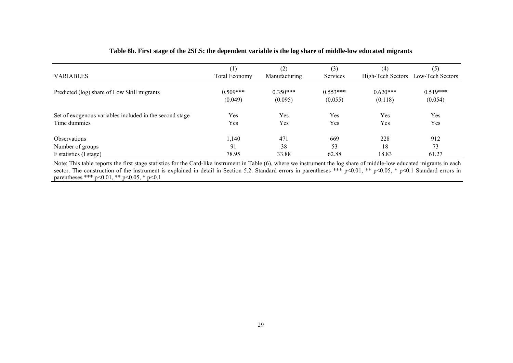|                                                         | $\left( 1\right)$    | (2)           | (3)        | (4)        | (5)                                |
|---------------------------------------------------------|----------------------|---------------|------------|------------|------------------------------------|
| <b>VARIABLES</b>                                        | <b>Total Economy</b> | Manufacturing | Services   |            | High-Tech Sectors Low-Tech Sectors |
|                                                         |                      |               |            |            |                                    |
| Predicted (log) share of Low Skill migrants             | $0.509***$           | $0.350***$    | $0.553***$ | $0.620***$ | $0.519***$                         |
|                                                         | (0.049)              | (0.095)       | (0.055)    | (0.118)    | (0.054)                            |
|                                                         |                      |               |            |            |                                    |
| Set of exogenous variables included in the second stage | Yes                  | Yes           | Yes        | Yes        | Yes                                |
| Time dummies                                            | Yes                  | Yes           | Yes        | Yes        | Yes                                |
|                                                         |                      |               |            |            |                                    |
| <b>Observations</b>                                     | 1,140                | 471           | 669        | 228        | 912                                |
| Number of groups                                        | 91                   | 38            | 53         | 18         | 73                                 |
| F statistics (I stage)                                  | 78.95                | 33.88         | 62.88      | 18.83      | 61.27                              |

#### **Table 8b. First stage of the 2SLS: the dependent variable is the log share of middle-low educated migrants**

Note: This table reports the first stage statistics for the Card-like instrument in Table (6), where we instrument the log share of middle-low educated migrants in each sector. The construction of the instrument is explained in detail in Section 5.2. Standard errors in parentheses \*\*\* p<0.01, \*\* p<0.05, \* p<0.1 Standard errors in parentheses \*\*\*  $p<0.01$ , \*\*  $p<0.05$ , \*  $p<0.1$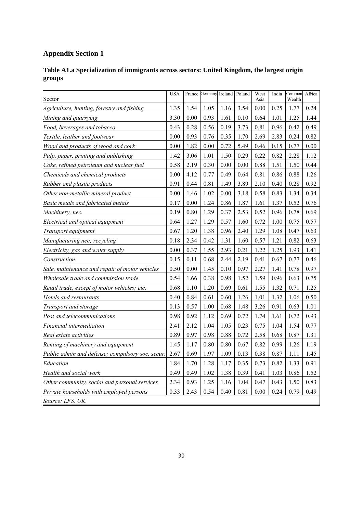# **Appendix Section 1**

| Table A1.a Specialization of immigrants across sectors: United Kingdom, the largest origin |  |
|--------------------------------------------------------------------------------------------|--|
| groups                                                                                     |  |

| Sector                                           | <b>USA</b> | France | Germany Ireland |      | Poland | West<br>Asia | India | Common<br>Wealth | Africa |
|--------------------------------------------------|------------|--------|-----------------|------|--------|--------------|-------|------------------|--------|
| Agriculture, hunting, forestry and fishing       | 1.35       | 1.54   | 1.05            | 1.16 | 3.54   | 0.00         | 0.25  | 1.77             | 0.24   |
| Mining and quarrying                             | 3.30       | 0.00   | 0.93            | 1.61 | 0.10   | 0.64         | 1.01  | 1.25             | 1.44   |
| Food, beverages and tobacco                      | 0.43       | 0.28   | 0.56            | 0.19 | 3.73   | 0.81         | 0.96  | 0.42             | 0.49   |
| Textile, leather and footwear                    | 0.00       | 0.93   | 0.76            | 0.35 | 1.70   | 2.69         | 2.83  | 0.24             | 0.82   |
| Wood and products of wood and cork               | 0.00       | 1.82   | 0.00            | 0.72 | 5.49   | 0.46         | 0.15  | 0.77             | 0.00   |
| Pulp, paper, printing and publishing             | 1.42       | 3.06   | 1.01            | 1.50 | 0.29   | 0.22         | 0.82  | 2.28             | 1.12   |
| Coke, refined petroleum and nuclear fuel         | 0.58       | 2.19   | 0.30            | 0.00 | 0.00   | 0.88         | 1.51  | 1.50             | 0.44   |
| Chemicals and chemical products                  | 0.00       | 4.12   | 0.77            | 0.49 | 0.64   | 0.81         | 0.86  | 0.88             | 1.26   |
| Rubber and plastic products                      | 0.91       | 0.44   | 0.81            | 1.49 | 3.89   | 2.10         | 0.40  | 0.28             | 0.92   |
| Other non-metallic mineral product               | 0.00       | 1.46   | 1.02            | 0.00 | 3.18   | 0.58         | 0.83  | 1.34             | 0.34   |
| Basic metals and fabricated metals               | 0.17       | 0.00   | 1.24            | 0.86 | 1.87   | 1.61         | 1.37  | 0.52             | 0.76   |
| Machinery, nec.                                  | 0.19       | 0.80   | 1.29            | 0.37 | 2.53   | 0.52         | 0.96  | 0.78             | 0.69   |
| Electrical and optical equipment                 | 0.64       | 1.27   | 1.29            | 0.57 | 1.60   | 0.72         | 1.00  | 0.75             | 0.57   |
| Transport equipment                              | 0.67       | 1.20   | 1.38            | 0.96 | 2.40   | 1.29         | 1.08  | 0.47             | 0.63   |
| Manufacturing nec; recycling                     | 0.18       | 2.34   | 0.42            | 1.31 | 1.60   | 0.57         | 1.21  | 0.82             | 0.63   |
| Electricity, gas and water supply                | 0.00       | 0.37   | 1.55            | 2.93 | 0.21   | 1.22         | 1.25  | 1.93             | 1.41   |
| Construction                                     | 0.15       | 0.11   | 0.68            | 2.44 | 2.19   | 0.41         | 0.67  | 0.77             | 0.46   |
| Sale, maintenance and repair of motor vehicles   | 0.50       | 0.00   | 1.45            | 0.10 | 0.97   | 2.27         | 1.41  | 0.78             | 0.97   |
| Wholesale trade and commission trade             | 0.54       | 1.66   | 0.38            | 0.98 | 1.52   | 1.59         | 0.96  | 0.63             | 0.75   |
| Retail trade, except of motor vehicles; etc.     | 0.68       | 1.10   | 1.20            | 0.69 | 0.61   | 1.55         | 1.32  | 0.71             | 1.25   |
| Hotels and restaurants                           | 0.40       | 0.84   | 0.61            | 0.60 | 1.26   | 1.01         | 1.32  | 1.06             | 0.50   |
| Transport and storage                            | 0.13       | 0.57   | 1.00            | 0.68 | 1.48   | 3.26         | 0.91  | 0.63             | 1.01   |
| Post and telecommunications                      | 0.98       | 0.92   | 1.12            | 0.69 | 0.72   | 1.74         | 1.61  | 0.72             | 0.93   |
| Financial intermediation                         | 2.41       | 2.12   | 1.04            | 1.05 | 0.23   | 0.75         | 1.04  | 1.54             | 0.77   |
| Real estate activities                           | 0.89       | 0.97   | 0.98            | 0.88 | 0.72   | 2.58         | 0.68  | 0.87             | 1.31   |
| Renting of machinery and equipment               | 1.45       | 1.17   | 0.80            | 0.80 | 0.67   | 0.82         | 0.99  | 1.26             | 1.19   |
| Public admin and defense; compulsory soc. secur. | 2.67       | 0.69   | 1.97            | 1.09 | 0.13   | 0.38         | 0.87  | 1.11             | 1.45   |
| Education                                        | 1.84       | 1.70   | 1.28            | 1.17 | 0.35   | 0.73         | 0.82  | 1.33             | 0.91   |
| Health and social work                           | 0.49       | 0.49   | 1.02            | 1.38 | 0.39   | 0.41         | 1.03  | 0.86             | 1.52   |
| Other community, social and personal services    | 2.34       | 0.93   | 1.25            | 1.16 | 1.04   | 0.47         | 0.43  | 1.50             | 0.83   |
| Private households with employed persons         | 0.33       | 2.43   | 0.54            | 0.40 | 0.81   | $0.00\,$     | 0.24  | 0.79             | 0.49   |
| Source: LFS, UK.                                 |            |        |                 |      |        |              |       |                  |        |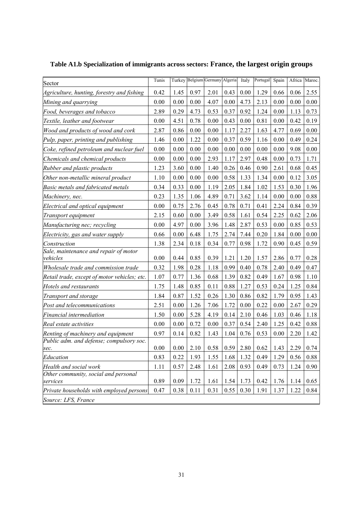| Sector                                            | Tunis |      |          | Turkey Belgium Germany Algeria |      | Italy                                    | Portugal | Spain | Africa Maroc. |      |
|---------------------------------------------------|-------|------|----------|--------------------------------|------|------------------------------------------|----------|-------|---------------|------|
| Agriculture, hunting, forestry and fishing        | 0.42  | 1.45 | 0.97     | 2.01                           | 0.43 | 0.00                                     | 1.29     | 0.66  | 0.06          | 2.55 |
| Mining and quarrying                              | 0.00  | 0.00 | 0.00     | 4.07                           | 0.00 | 4.73                                     | 2.13     | 0.00  | 0.00          | 0.00 |
| Food, beverages and tobacco                       | 2.89  | 0.29 | 4.73     | 0.53                           | 0.37 | 0.92                                     | 1.24     | 0.00  | 1.13          | 0.73 |
| Textile, leather and footwear                     | 0.00  | 4.51 | 0.78     | 0.00                           | 0.43 | 0.00                                     | 0.81     | 0.00  | 0.42          | 0.19 |
| Wood and products of wood and cork                | 2.87  | 0.86 | 0.00     | 0.00                           | 1.17 | 2.27                                     | 1.63     | 4.77  | 0.69          | 0.00 |
| Pulp, paper, printing and publishing              | 1.46  | 0.00 | 1.22     | 0.00                           | 0.37 | 0.59                                     | 1.16     | 0.00  | 0.49          | 0.24 |
| Coke, refined petroleum and nuclear fuel          | 0.00  | 0.00 | 0.00     | 0.00                           | 0.00 | 0.00                                     | 0.00     | 0.00  | 9.08          | 0.00 |
| Chemicals and chemical products                   | 0.00  | 0.00 | 0.00     | 2.93                           | 1.17 | 2.97                                     | 0.48     | 0.00  | 0.73          | 1.71 |
| Rubber and plastic products                       | 1.23  | 3.60 | 0.00     | 1.40                           | 0.26 | 0.46                                     | 0.90     | 2.61  | 0.68          | 0.45 |
| Other non-metallic mineral product                | 1.10  | 0.00 | $0.00\,$ | 0.00                           | 0.58 | 1.33                                     | 1.34     | 0.00  | 0.12          | 3.05 |
| Basic metals and fabricated metals                | 0.34  | 0.33 | 0.00     | 1.19                           | 2.05 | 1.84                                     | 1.02     | 1.53  | 0.30          | 1.96 |
| Machinery, nec.                                   | 0.23  | 1.35 | 1.06     | 4.89                           | 0.71 | 3.62                                     | 1.14     | 0.00  | 0.00          | 0.88 |
| Electrical and optical equipment                  | 0.00  | 0.75 | 2.76     | 0.45                           | 0.78 | 0.71                                     | 0.41     | 2.24  | 0.84          | 0.39 |
| Transport equipment                               | 2.15  | 0.60 | 0.00     | 3.49                           | 0.58 | 1.61                                     | 0.54     | 2.25  | 0.62          | 2.06 |
| Manufacturing nec; recycling                      | 0.00  | 4.97 | 0.00     | 3.96                           | 1.48 | 2.87                                     | 0.53     | 0.00  | 0.85          | 0.53 |
| Electricity, gas and water supply                 | 0.66  | 0.00 | 6.48     | 1.75                           | 2.74 | 7.44                                     | 0.20     | 1.84  | 0.00          | 0.00 |
| Construction                                      | 1.38  | 2.34 | 0.18     | 0.34                           | 0.77 | 0.98                                     | 1.72     | 0.90  | 0.45          | 0.59 |
| Sale, maintenance and repair of motor<br>vehicles | 0.00  | 0.44 | 0.85     | 0.39                           | 1.21 | 1.20                                     | 1.57     | 2.86  | 0.77          | 0.28 |
| Wholesale trade and commission trade              | 0.32  | 1.98 | 0.28     | 1.18                           | 0.99 | 0.40                                     | 0.78     | 2.40  | 0.49          | 0.47 |
| Retail trade, except of motor vehicles; etc.      | 1.07  | 0.77 | 1.36     | 0.68                           | 1.39 | 0.82                                     | 0.49     | 1.67  | 0.98          | 1.10 |
| Hotels and restaurants                            | 1.75  | 1.48 | 0.85     | 0.11                           | 0.88 | 1.27                                     | 0.53     | 0.24  | 1.25          | 0.84 |
| Transport and storage                             | 1.84  | 0.87 | 1.52     | 0.26                           | 1.30 | 0.86                                     | 0.82     | 1.79  | 0.95          | 1.43 |
| Post and telecommunications                       | 2.51  | 0.00 | 1.26     | 7.06                           | 1.72 | $0.00\,$                                 | 0.22     | 0.00  | 2.67          | 0.29 |
| Financial intermediation                          | 1.50  | 0.00 | 5.28     | 4.19                           | 0.14 | 2.10                                     | 0.46     | 1.03  | 0.46          | 1.18 |
| Real estate activities                            | 0.00  | 0.00 | 0.72     | 0.00                           | 0.37 | 0.54                                     | 2.40     | 1.25  | 0.42          | 0.88 |
| Renting of machinery and equipment                | 0.97  | 0.14 | 0.82     | 1.43                           | 1.04 | 0.76                                     | 0.53     | 0.00  | 2.20          | 1.42 |
| Public adm. and defense; compulsory soc.<br>sec.  | 0.00  | 0.00 | 2.10     | 0.58                           |      | $\vert 0.59 \vert 2.80 \vert 0.62 \vert$ |          | 1.43  | 2.29          | 0.74 |
| Education                                         | 0.83  | 0.22 | 1.93     | 1.55                           | 1.68 | 1.32                                     | 0.49     | 1.29  | 0.56          | 0.88 |
| Health and social work                            | 1.11  | 0.57 | 2.48     | 1.61                           | 2.08 | 0.93                                     | 0.49     | 0.73  | 1.24          | 0.90 |
| Other community, social and personal<br>services  | 0.89  | 0.09 | 1.72     | 1.61                           | 1.54 | 1.73                                     | 0.42     | 1.76  | 1.14          | 0.65 |
| Private households with employed persons          | 0.47  | 0.38 | 0.11     | 0.31                           | 0.55 | 0.30                                     | 1.91     | 1.37  | 1.22          | 0.84 |
| Source: LFS, France                               |       |      |          |                                |      |                                          |          |       |               |      |

**Table A1.b Specialization of immigrants across sectors: France, the largest origin groups**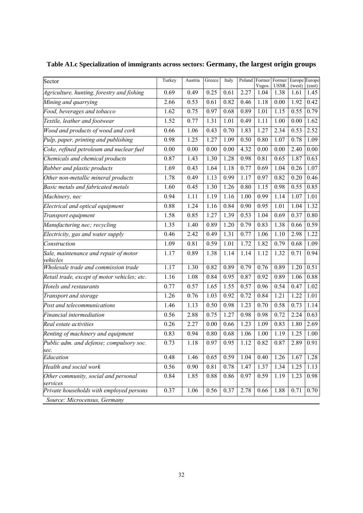| Sector                                            | Turkey | Austria | Greece | Italy |      | Poland Former<br>Yugos. | Former<br><b>USSR</b> | Europe Europe<br>(west) | (east) |
|---------------------------------------------------|--------|---------|--------|-------|------|-------------------------|-----------------------|-------------------------|--------|
| Agriculture, hunting, forestry and fishing        | 0.69   | 0.49    | 0.25   | 0.61  | 2.27 | 1.04                    | 1.38                  | 1.61                    | 1.45   |
| Mining and quarrying                              | 2.66   | 0.53    | 0.61   | 0.82  | 0.46 | 1.18                    | 0.00                  | 1.92                    | 0.42   |
| Food, beverages and tobacco                       | 1.62   | 0.75    | 0.97   | 0.68  | 0.89 | 1.01                    | 1.15                  | 0.55                    | 0.79   |
| Textile, leather and footwear                     | 1.52   | 0.77    | 1.31   | 1.01  | 0.49 | 1.11                    | 1.00                  | 0.00                    | 1.62   |
| Wood and products of wood and cork                | 0.66   | 1.06    | 0.43   | 0.70  | 1.83 | 1.27                    | 2.34                  | 0.53                    | 2.52   |
| Pulp, paper, printing and publishing              | 0.98   | 1.25    | 1.27   | 1.09  | 0.50 | 0.80                    | 1.07                  | 0.78                    | 1.09   |
| Coke, refined petroleum and nuclear fuel          | 0.00   | 0.00    | 0.00   | 0.00  | 4.32 | 0.00                    | 0.00                  | 2.40                    | 0.00   |
| Chemicals and chemical products                   | 0.87   | 1.43    | 1.30   | 1.28  | 0.98 | 0.81                    | 0.65                  | 1.87                    | 0.63   |
| Rubber and plastic products                       | 1.69   | 0.43    | 1.64   | 1.18  | 0.77 | 0.69                    | 1.04                  | 0.26                    | 1.07   |
| Other non-metallic mineral products               | 1.78   | 0.49    | 1.13   | 0.99  | 1.17 | 0.97                    | 0.82                  | 0.20                    | 0.46   |
| Basic metals and fabricated metals                | 1.60   | 0.45    | 1.30   | 1.26  | 0.80 | 1.15                    | 0.98                  | 0.55                    | 0.85   |
| Machinery, nec                                    | 0.94   | 1.11    | 1.19   | 1.16  | 1.00 | 0.99                    | 1.14                  | 1.07                    | 1.01   |
| Electrical and optical equipment                  | 0.88   | 1.24    | 1.16   | 0.84  | 0.90 | 0.95                    | 1.01                  | 1.04                    | 1.32   |
| Transport equipment                               | 1.58   | 0.85    | 1.27   | 1.39  | 0.53 | 1.04                    | 0.69                  | 0.37                    | 0.80   |
| Manufacturing nec; recycling                      | 1.35   | 1.40    | 0.89   | 1.20  | 0.79 | 0.83                    | 1.38                  | 0.66                    | 0.59   |
| Electricity, gas and water supply                 | 0.46   | 2.42    | 0.49   | 1.31  | 0.77 | 1.06                    | 1.10                  | 2.98                    | 1.22   |
| Construction                                      | 1.09   | 0.81    | 0.59   | 1.01  | 1.72 | 1.82                    | 0.79                  | 0.68                    | 1.09   |
| Sale, maintenance and repair of motor<br>vehicles | 1.17   | 0.89    | 1.38   | 1.14  | 1.14 | 1.12                    | 1.32                  | 0.71                    | 0.94   |
| Wholesale trade and commission trade              | 1.17   | 1.30    | 0.82   | 0.89  | 0.79 | 0.76                    | 0.89                  | 1.20                    | 0.51   |
| Retail trade, except of motor vehicles; etc.      | 1.16   | 1.08    | 0.84   | 0.95  | 0.87 | 0.92                    | 0.89                  | 1.06                    | 0.88   |
| Hotels and restaurants                            | 0.77   | 0.57    | 1.65   | 1.55  | 0.57 | 0.96                    | 0.54                  | 0.47                    | 1.02   |
| Transport and storage                             | 1.26   | 0.76    | 1.03   | 0.92  | 0.72 | 0.84                    | 1.21                  | 1.22                    | 1.01   |
| Post and telecommunications                       | 1.46   | 1.13    | 0.50   | 0.98  | 1.23 | 0.70                    | 0.58                  | 0.73                    | 1.14   |
| Financial intermediation                          | 0.56   | 2.88    | 0.75   | 1.27  | 0.98 | 0.98                    | 0.72                  | 2.24                    | 0.63   |
| Real estate activities                            | 0.26   | 2.27    | 0.00   | 0.66  | 1.23 | 1.09                    | 0.83                  | 1.80                    | 2.69   |
| Renting of machinery and equipment                | 0.83   | 0.94    | 0.80   | 0.68  | 1.06 | 1.00                    | 1.19                  | 1.25                    | 1.00   |
| Public adm. and defense; compulsory soc.          | 0.73   | 1.18    | 0.97   | 0.95  | 1.12 | 0.82                    | 0.87                  | 2.89                    | 0.91   |
| sec.<br>Education                                 | 0.48   | 1.46    | 0.65   | 0.59  | 1.04 | 0.40                    | 1.26                  | 1.67                    | 1.28   |
| Health and social work                            | 0.56   | 0.90    | 0.81   | 0.78  | 1.47 | 1.37                    | 1.34                  | 1.25                    | 1.13   |
| Other community, social and personal              | 0.84   | 1.85    | 0.88   | 0.86  | 0.97 | 0.59                    | 1.19                  | 1.23                    | 0.98   |
| services                                          |        |         |        |       |      |                         |                       |                         |        |
| Private households with employed persons          | 0.37   | 1.06    | 0.56   | 0.37  | 2.78 | 0.66                    | 1.88                  | 0.71                    | 0.70   |
| Source: Microcensus, Germany                      |        |         |        |       |      |                         |                       |                         |        |

**Table A1.c Specialization of immigrants across sectors: Germany, the largest origin groups**